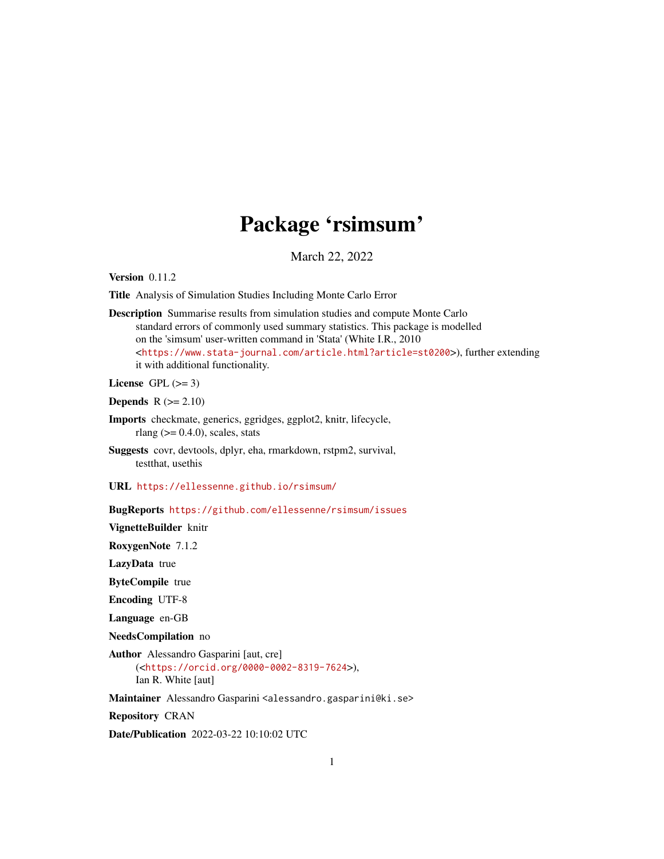## Package 'rsimsum'

March 22, 2022

<span id="page-0-0"></span>Version 0.11.2

Title Analysis of Simulation Studies Including Monte Carlo Error

Description Summarise results from simulation studies and compute Monte Carlo standard errors of commonly used summary statistics. This package is modelled on the 'simsum' user-written command in 'Stata' (White I.R., 2010 <<https://www.stata-journal.com/article.html?article=st0200>>), further extending it with additional functionality.

License GPL  $(>= 3)$ 

Depends  $R (= 2.10)$ 

- Imports checkmate, generics, ggridges, ggplot2, knitr, lifecycle, rlang ( $> = 0.4.0$ ), scales, stats
- Suggests covr, devtools, dplyr, eha, rmarkdown, rstpm2, survival, testthat, usethis

URL <https://ellessenne.github.io/rsimsum/>

BugReports <https://github.com/ellessenne/rsimsum/issues>

VignetteBuilder knitr

RoxygenNote 7.1.2

LazyData true

ByteCompile true

Encoding UTF-8

Language en-GB

NeedsCompilation no

Author Alessandro Gasparini [aut, cre] (<<https://orcid.org/0000-0002-8319-7624>>), Ian R. White [aut]

Maintainer Alessandro Gasparini <alessandro.gasparini@ki.se>

Repository CRAN

Date/Publication 2022-03-22 10:10:02 UTC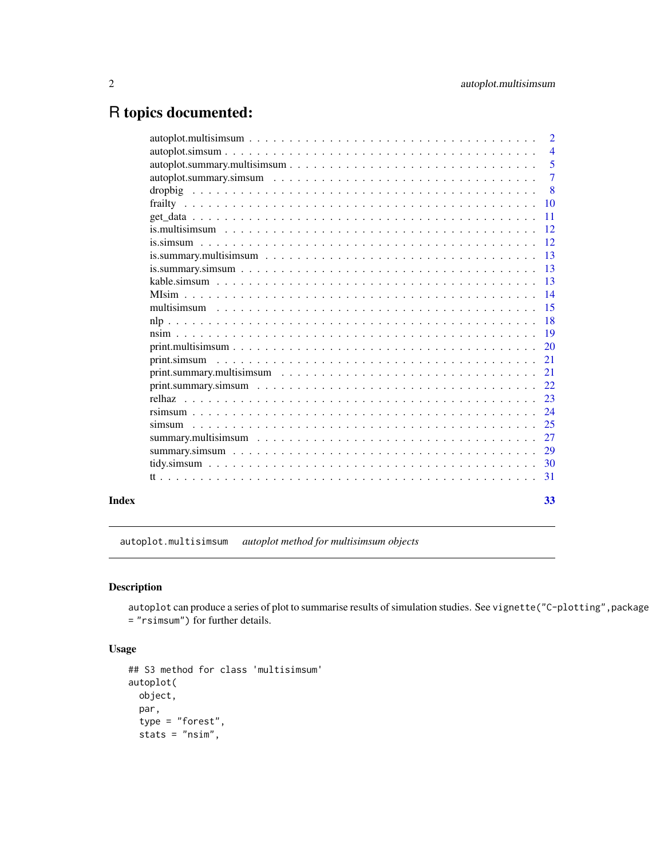## <span id="page-1-0"></span>R topics documented:

|       | $autoplot.multisimsum \dots \dots \dots \dots \dots \dots \dots \dots \dots \dots \dots \dots \dots \dots \dots \dots$                                                      | $\overline{2}$  |
|-------|-----------------------------------------------------------------------------------------------------------------------------------------------------------------------------|-----------------|
|       |                                                                                                                                                                             | $\overline{4}$  |
|       |                                                                                                                                                                             | 5               |
|       |                                                                                                                                                                             | $\overline{7}$  |
|       |                                                                                                                                                                             | $\overline{8}$  |
|       |                                                                                                                                                                             |                 |
|       |                                                                                                                                                                             |                 |
|       |                                                                                                                                                                             | <sup>12</sup>   |
|       |                                                                                                                                                                             |                 |
|       |                                                                                                                                                                             |                 |
|       |                                                                                                                                                                             | 13              |
|       |                                                                                                                                                                             | $\overline{13}$ |
|       |                                                                                                                                                                             | $\overline{14}$ |
|       |                                                                                                                                                                             | 15              |
|       |                                                                                                                                                                             | $-18$           |
|       |                                                                                                                                                                             |                 |
|       |                                                                                                                                                                             |                 |
|       | print.simsum                                                                                                                                                                | 21              |
|       | $print. summary.multisimsum \dots \dots \dots \dots \dots \dots \dots \dots \dots \dots \dots \dots \dots$                                                                  | 21              |
|       |                                                                                                                                                                             | 22              |
|       |                                                                                                                                                                             | 23              |
|       |                                                                                                                                                                             |                 |
|       |                                                                                                                                                                             |                 |
|       |                                                                                                                                                                             | 27              |
|       |                                                                                                                                                                             |                 |
|       | tidy, simsum $\ldots$ , $\ldots$ , $\ldots$ , $\ldots$ , $\ldots$ , $\ldots$ , $\ldots$ , $\ldots$ , $\ldots$ , $\ldots$ , $\ldots$ , $\ldots$ , $\ldots$ , $\frac{30}{20}$ |                 |
|       |                                                                                                                                                                             | 31              |
| Index |                                                                                                                                                                             | 33              |

autoplot.multisimsum *autoplot method for multisimsum objects*

## Description

autoplot can produce a series of plot to summarise results of simulation studies. See vignette("C-plotting",package = "rsimsum") for further details.

```
## S3 method for class 'multisimsum'
autoplot(
 object,
 par,
 type = "forest",
 stats = "nsim",
```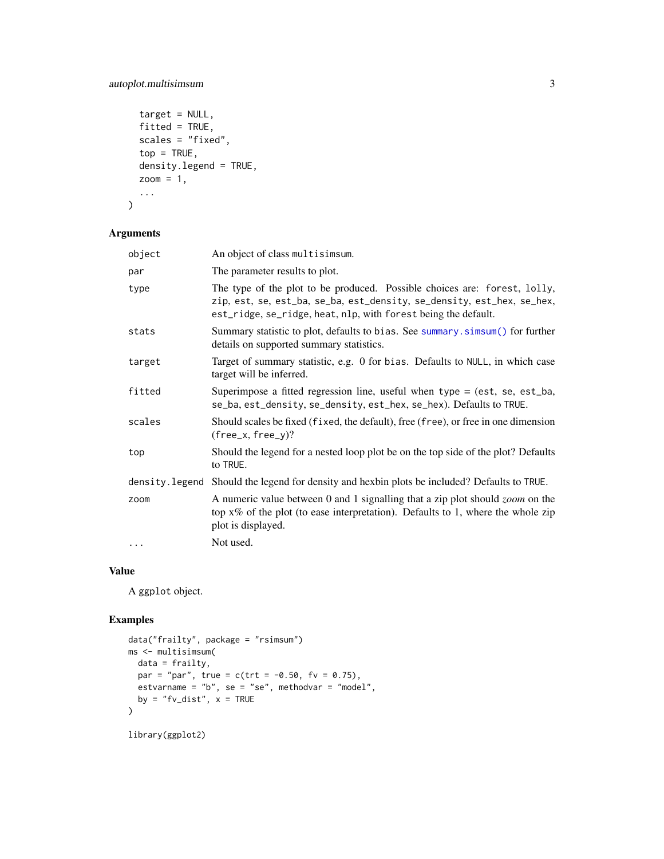## <span id="page-2-0"></span>autoplot.multisimsum 3

```
target = NULL,fitted = TRUE,
scales = "fixed",
top = TRUE,density.legend = TRUE,
zoom = 1,
...
```
## Arguments

 $\mathcal{L}$ 

| object         | An object of class multisimsum.                                                                                                                                                                                       |
|----------------|-----------------------------------------------------------------------------------------------------------------------------------------------------------------------------------------------------------------------|
| par            | The parameter results to plot.                                                                                                                                                                                        |
| type           | The type of the plot to be produced. Possible choices are: forest, lolly,<br>zip, est, se, est_ba, se_ba, est_density, se_density, est_hex, se_hex,<br>est_ridge, se_ridge, heat, nlp, with forest being the default. |
| stats          | Summary statistic to plot, defaults to bias. See summary. simsum() for further<br>details on supported summary statistics.                                                                                            |
| target         | Target of summary statistic, e.g. 0 for bias. Defaults to NULL, in which case<br>target will be inferred.                                                                                                             |
| fitted         | Superimpose a fitted regression line, useful when type $=$ (est, se, est_ba,<br>se_ba, est_density, se_density, est_hex, se_hex). Defaults to TRUE.                                                                   |
| scales         | Should scales be fixed (fixed, the default), free (free), or free in one dimension<br>$(free_x, free_y)?$                                                                                                             |
| top            | Should the legend for a nested loop plot be on the top side of the plot? Defaults<br>to TRUE.                                                                                                                         |
| density.legend | Should the legend for density and hexbin plots be included? Defaults to TRUE.                                                                                                                                         |
| zoom           | A numeric value between 0 and 1 signalling that a zip plot should <i>zoom</i> on the<br>top $x\%$ of the plot (to ease interpretation). Defaults to 1, where the whole zip<br>plot is displayed.                      |
| $\cdots$       | Not used.                                                                                                                                                                                                             |
|                |                                                                                                                                                                                                                       |

## Value

A ggplot object.

```
data("frailty", package = "rsimsum")
ms <- multisimsum(
data = frailty,
 par = "par", true = c(trt = -0.50, fv = 0.75),
 estvarname = "b", se = "se", methodvar = "model",
  by = "fv\_dist", x = TRUE\mathcal{L}library(ggplot2)
```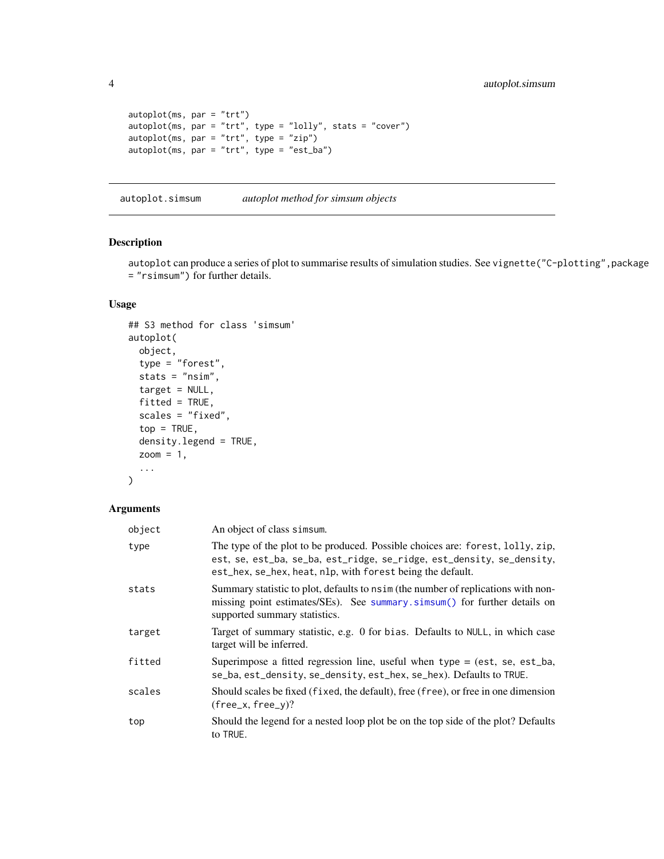```
autoplot(ms, par = "trt")autoplot(ms, par = "trt", type = "lolly", stats = "cover")
autoplot(ms, par = "trt", type = "zip")
autoplot(ms, par = "trt", type = "est_ba")
```
autoplot.simsum *autoplot method for simsum objects*

#### Description

autoplot can produce a series of plot to summarise results of simulation studies. See vignette("C-plotting",package = "rsimsum") for further details.

## Usage

```
## S3 method for class 'simsum'
autoplot(
 object,
  type = "forest",
  stats = "nsim",
  target = NULL,fitted = TRUE,scales = "fixed",
  top = TRUE,density.legend = TRUE,
  zoom = 1,
  ...
)
```
#### Arguments

| object | An object of class simsum.                                                                                                                                                                                            |
|--------|-----------------------------------------------------------------------------------------------------------------------------------------------------------------------------------------------------------------------|
| type   | The type of the plot to be produced. Possible choices are: forest, lolly, zip,<br>est, se, est_ba, se_ba, est_ridge, se_ridge, est_density, se_density,<br>est_hex, se_hex, heat, nlp, with forest being the default. |
| stats  | Summary statistic to plot, defaults to nsim (the number of replications with non-<br>missing point estimates/SEs). See summary simsum() for further details on<br>supported summary statistics.                       |
| target | Target of summary statistic, e.g. 0 for bias. Defaults to NULL, in which case<br>target will be inferred.                                                                                                             |
| fitted | Superimpose a fitted regression line, useful when $type = (est, se, est_ba,$<br>se_ba, est_density, se_density, est_hex, se_hex). Defaults to TRUE.                                                                   |
| scales | Should scales be fixed (fixed, the default), free (free), or free in one dimension<br>$(free_x, free_y)?$                                                                                                             |
| top    | Should the legend for a nested loop plot be on the top side of the plot? Defaults<br>to TRUE.                                                                                                                         |

<span id="page-3-0"></span>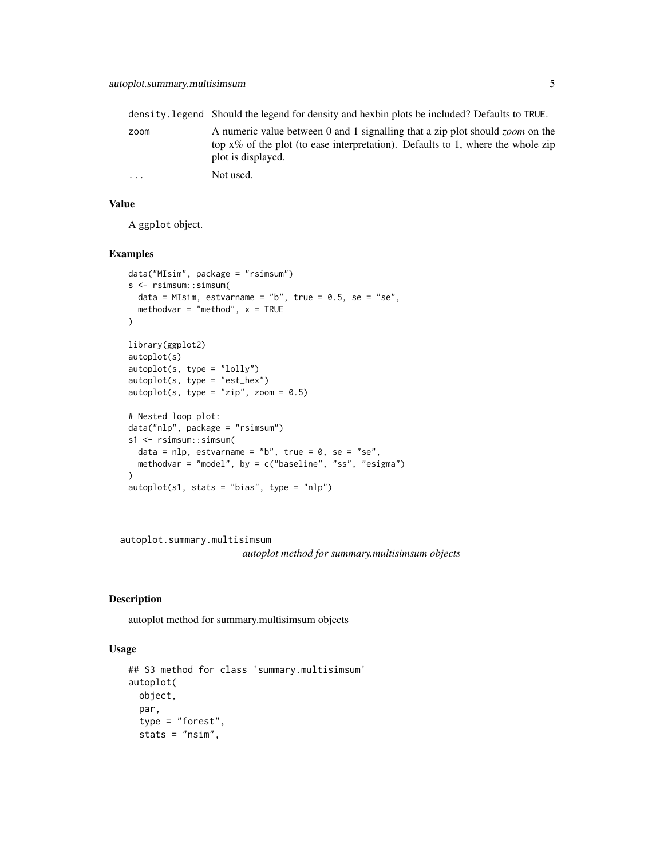<span id="page-4-0"></span>

|                         | density. Legend Should the legend for density and hexbin plots be included? Defaults to TRUE.                                                                                                    |
|-------------------------|--------------------------------------------------------------------------------------------------------------------------------------------------------------------------------------------------|
| zoom                    | A numeric value between 0 and 1 signalling that a zip plot should <i>zoom</i> on the<br>top $x\%$ of the plot (to ease interpretation). Defaults to 1, where the whole zip<br>plot is displayed. |
| $\cdot$ $\cdot$ $\cdot$ | Not used.                                                                                                                                                                                        |

## Value

A ggplot object.

#### Examples

```
data("MIsim", package = "rsimsum")
s <- rsimsum::simsum(
 data = MIsim, estvarname = "b", true = 0.5, se = "se",
  methodvar = "method", x = TRUE)
library(ggplot2)
autoplot(s)
autoplot(s, type = "lolly")
autoplot(s, type = "est_hex")
autoplot(s, type = "zip", zoom = 0.5)
# Nested loop plot:
data("nlp", package = "rsimsum")
s1 <- rsimsum::simsum(
  data = nlp, estvarname = "b", true = 0, se = "se",
  methodvar = "model", by = c("baseline", "ss", "esigma")
)
autoplot(s1, stats = "bias", type = "nlp")
```
autoplot.summary.multisimsum

*autoplot method for summary.multisimsum objects*

## Description

autoplot method for summary.multisimsum objects

```
## S3 method for class 'summary.multisimsum'
autoplot(
 object,
  par,
  type = "forest",
  stats = "nsim",
```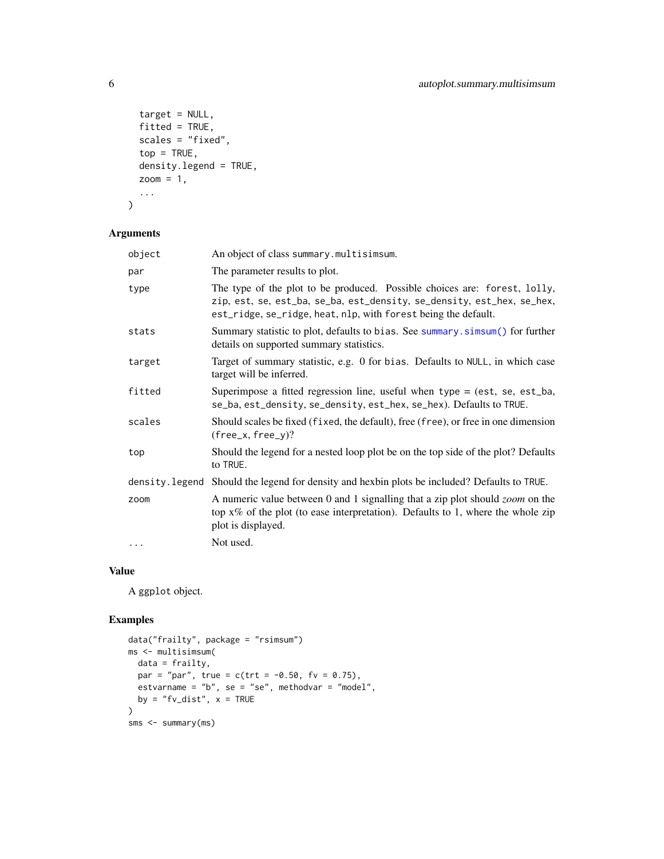```
target = NULL,fitted = TRUE,
 scales = "fixed",
 top = TRUE,density.legend = TRUE,
 zoom = 1,
  ...
\mathcal{L}
```
## Arguments

| object         | An object of class summary.multisimsum.                                                                                                                                                                               |
|----------------|-----------------------------------------------------------------------------------------------------------------------------------------------------------------------------------------------------------------------|
| par            | The parameter results to plot.                                                                                                                                                                                        |
| type           | The type of the plot to be produced. Possible choices are: forest, lolly,<br>zip, est, se, est_ba, se_ba, est_density, se_density, est_hex, se_hex,<br>est_ridge, se_ridge, heat, nlp, with forest being the default. |
| stats          | Summary statistic to plot, defaults to bias. See summary. simsum() for further<br>details on supported summary statistics.                                                                                            |
| target         | Target of summary statistic, e.g. 0 for bias. Defaults to NULL, in which case<br>target will be inferred.                                                                                                             |
| fitted         | Superimpose a fitted regression line, useful when type $=$ (est, se, est_ba,<br>se_ba, est_density, se_density, est_hex, se_hex). Defaults to TRUE.                                                                   |
| scales         | Should scales be fixed (fixed, the default), free (free), or free in one dimension<br>$(free_x, free_y)?$                                                                                                             |
| top            | Should the legend for a nested loop plot be on the top side of the plot? Defaults<br>to TRUE.                                                                                                                         |
| density.legend | Should the legend for density and hexbin plots be included? Defaults to TRUE.                                                                                                                                         |
| zoom           | A numeric value between 0 and 1 signalling that a zip plot should <i>zoom</i> on the<br>top $x\%$ of the plot (to ease interpretation). Defaults to 1, where the whole zip<br>plot is displayed.                      |
| $\cdots$       | Not used.                                                                                                                                                                                                             |
|                |                                                                                                                                                                                                                       |

## Value

A ggplot object.

```
data("frailty", package = "rsimsum")
ms <- multisimsum(
 data = frailty,
 par = "par", true = c(trt = -0.50, fv = 0.75),
 estvarname = "b", se = "se", methodvar = "model",
 by = "fv\_dist", x = TRUE\mathcal{L}sms <- summary(ms)
```
<span id="page-5-0"></span>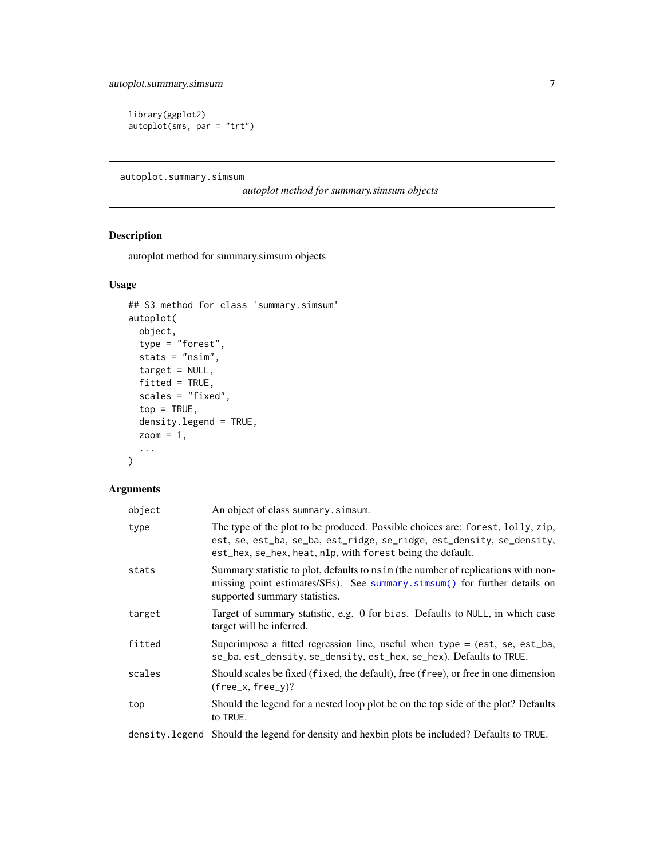<span id="page-6-0"></span>library(ggplot2) autoplot(sms, par = "trt")

autoplot.summary.simsum

*autoplot method for summary.simsum objects*

## Description

autoplot method for summary.simsum objects

## Usage

```
## S3 method for class 'summary.simsum'
autoplot(
 object,
  type = "forest",
 stats = "nsim",target = NULL,fitted = TRUE,scales = "fixed",
 top = TRUE,density.legend = TRUE,
 zoom = 1,
  ...
)
```
## Arguments

| object | An object of class summary. simsum.                                                                                                                                                                                   |
|--------|-----------------------------------------------------------------------------------------------------------------------------------------------------------------------------------------------------------------------|
| type   | The type of the plot to be produced. Possible choices are: forest, lolly, zip,<br>est, se, est_ba, se_ba, est_ridge, se_ridge, est_density, se_density,<br>est_hex, se_hex, heat, nlp, with forest being the default. |
| stats  | Summary statistic to plot, defaults to nsim (the number of replications with non-<br>missing point estimates/SEs). See summary simsum() for further details on<br>supported summary statistics.                       |
| target | Target of summary statistic, e.g. 0 for bias. Defaults to NULL, in which case<br>target will be inferred.                                                                                                             |
| fitted | Superimpose a fitted regression line, useful when $type = (est, se, est_ba,$<br>se_ba, est_density, se_density, est_hex, se_hex). Defaults to TRUE.                                                                   |
| scales | Should scales be fixed (fixed, the default), free (free), or free in one dimension<br>$(free_x, free_y)?$                                                                                                             |
| top    | Should the legend for a nested loop plot be on the top side of the plot? Defaults<br>to TRUE.                                                                                                                         |
|        | ulionidae i Theorie (M. F. 14 alia 15 con 1 Con 15 coda non 14 con 15 colora 15 de 16 de 16 metro 16 a composit                                                                                                       |

density.legend Should the legend for density and hexbin plots be included? Defaults to TRUE.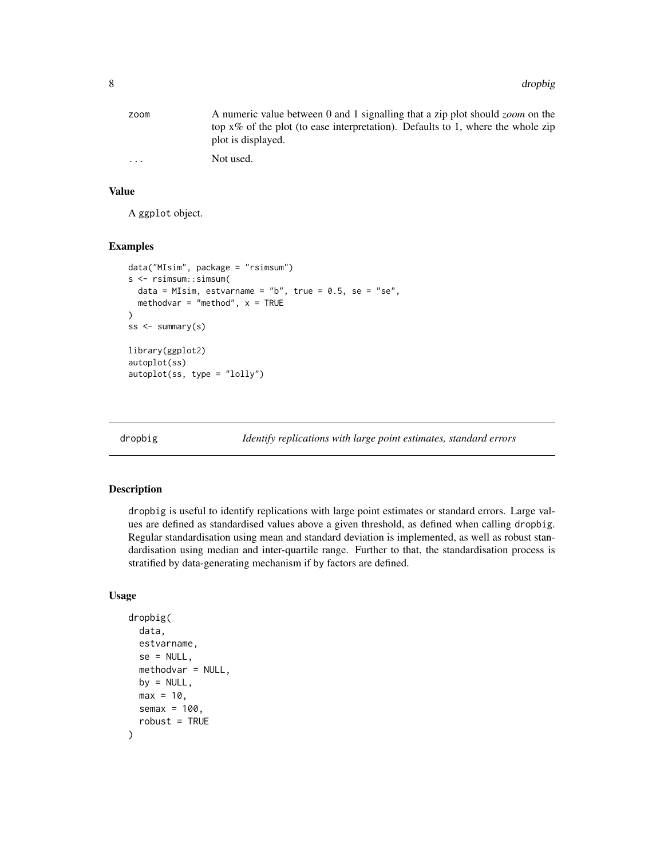<span id="page-7-0"></span>

| zoom     | A numeric value between 0 and 1 signalling that a zip plot should <i>zoom</i> on the |
|----------|--------------------------------------------------------------------------------------|
|          | top $x\%$ of the plot (to ease interpretation). Defaults to 1, where the whole zip   |
|          | plot is displayed.                                                                   |
| $\cdots$ | Not used.                                                                            |

## Value

A ggplot object.

#### Examples

```
data("MIsim", package = "rsimsum")
s <- rsimsum::simsum(
 data = MIsim, estvarname = "b", true = 0.5, se = "se",
 methodvar = "method", x = TRUE)
ss \leq summary(s)
library(ggplot2)
autoplot(ss)
autoplot(ss, type = "lolly")
```
dropbig *Identify replications with large point estimates, standard errors*

## Description

dropbig is useful to identify replications with large point estimates or standard errors. Large values are defined as standardised values above a given threshold, as defined when calling dropbig. Regular standardisation using mean and standard deviation is implemented, as well as robust standardisation using median and inter-quartile range. Further to that, the standardisation process is stratified by data-generating mechanism if by factors are defined.

```
dropbig(
  data,
  estvarname,
  se = NULL,
 methodvar = NULL,
 by = NULL,
 max = 10,
  semax = 100,
  robust = TRUE)
```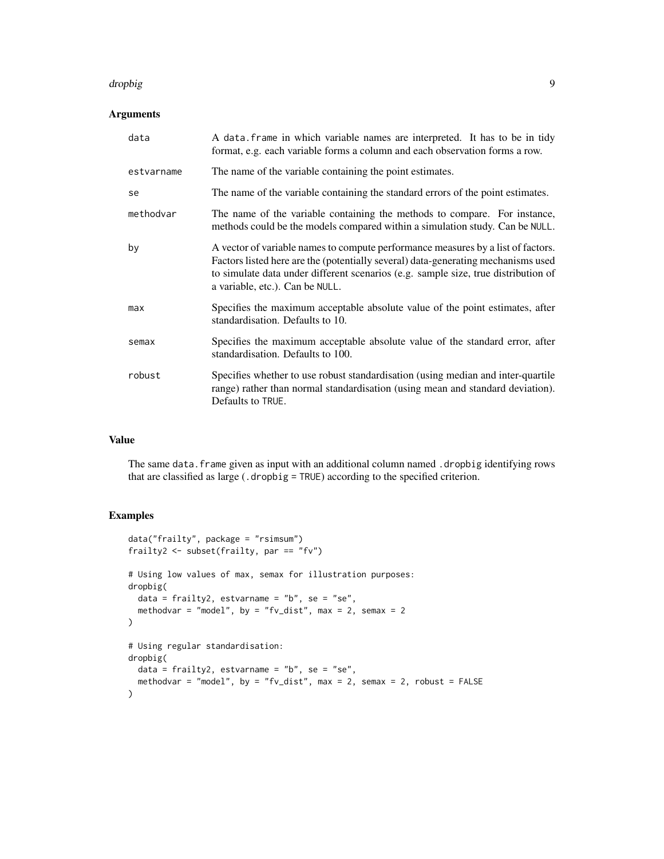#### dropbig the control of the control of the control of the control of the control of the control of the control o

## Arguments

| data       | A data. frame in which variable names are interpreted. It has to be in tidy<br>format, e.g. each variable forms a column and each observation forms a row.                                                                                                                                     |
|------------|------------------------------------------------------------------------------------------------------------------------------------------------------------------------------------------------------------------------------------------------------------------------------------------------|
| estvarname | The name of the variable containing the point estimates.                                                                                                                                                                                                                                       |
| se         | The name of the variable containing the standard errors of the point estimates.                                                                                                                                                                                                                |
| methodvar  | The name of the variable containing the methods to compare. For instance,<br>methods could be the models compared within a simulation study. Can be NULL.                                                                                                                                      |
| by         | A vector of variable names to compute performance measures by a list of factors.<br>Factors listed here are the (potentially several) data-generating mechanisms used<br>to simulate data under different scenarios (e.g. sample size, true distribution of<br>a variable, etc.). Can be NULL. |
| max        | Specifies the maximum acceptable absolute value of the point estimates, after<br>standardisation. Defaults to 10.                                                                                                                                                                              |
| semax      | Specifies the maximum acceptable absolute value of the standard error, after<br>standardisation. Defaults to 100.                                                                                                                                                                              |
| robust     | Specifies whether to use robust standardisation (using median and inter-quartile<br>range) rather than normal standardisation (using mean and standard deviation).<br>Defaults to TRUE.                                                                                                        |

## Value

The same data.frame given as input with an additional column named .dropbig identifying rows that are classified as large (.dropbig = TRUE) according to the specified criterion.

```
data("frailty", package = "rsimsum")
frailty2 <- subset(frailty, par == "fv")
# Using low values of max, semax for illustration purposes:
dropbig(
 data = frailty2, estvarname = nb", se = "se",
 methodvar = "model", by = "fv_dist", max = 2, semax = 2
\mathcal{L}# Using regular standardisation:
dropbig(
  data = frailty2, estvarname = "b", se = "se",
 methodvar = "model", by = "fv_dist", max = 2, semax = 2, robust = FALSE
\mathcal{L}
```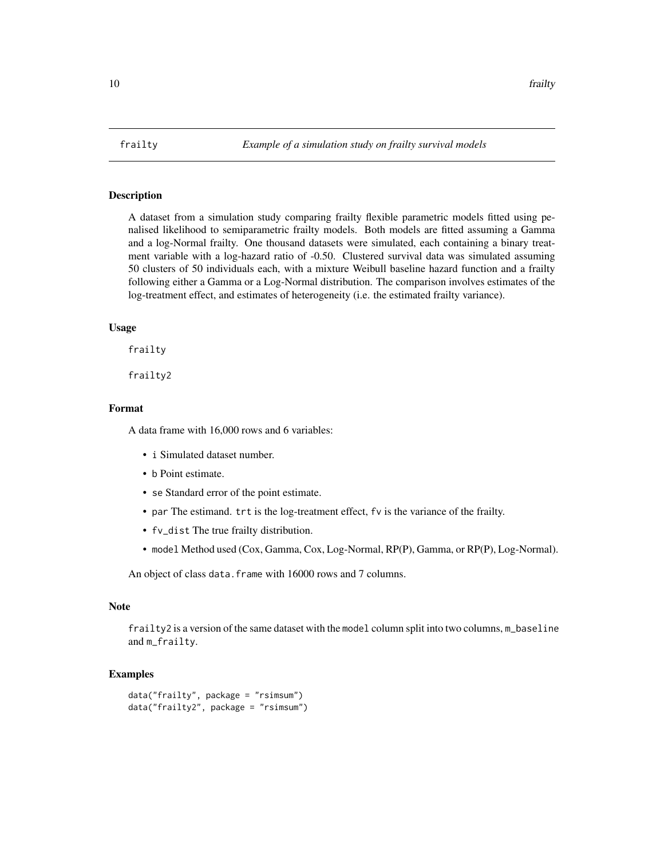<span id="page-9-0"></span>

## Description

A dataset from a simulation study comparing frailty flexible parametric models fitted using penalised likelihood to semiparametric frailty models. Both models are fitted assuming a Gamma and a log-Normal frailty. One thousand datasets were simulated, each containing a binary treatment variable with a log-hazard ratio of -0.50. Clustered survival data was simulated assuming 50 clusters of 50 individuals each, with a mixture Weibull baseline hazard function and a frailty following either a Gamma or a Log-Normal distribution. The comparison involves estimates of the log-treatment effect, and estimates of heterogeneity (i.e. the estimated frailty variance).

## Usage

frailty

frailty2

#### Format

A data frame with 16,000 rows and 6 variables:

- i Simulated dataset number.
- b Point estimate.
- se Standard error of the point estimate.
- par The estimand. trt is the log-treatment effect, fv is the variance of the frailty.
- fv\_dist The true frailty distribution.
- model Method used (Cox, Gamma, Cox, Log-Normal, RP(P), Gamma, or RP(P), Log-Normal).

An object of class data. frame with 16000 rows and 7 columns.

#### **Note**

frailty2 is a version of the same dataset with the model column split into two columns, m\_baseline and m\_frailty.

```
data("frailty", package = "rsimsum")
data("frailty2", package = "rsimsum")
```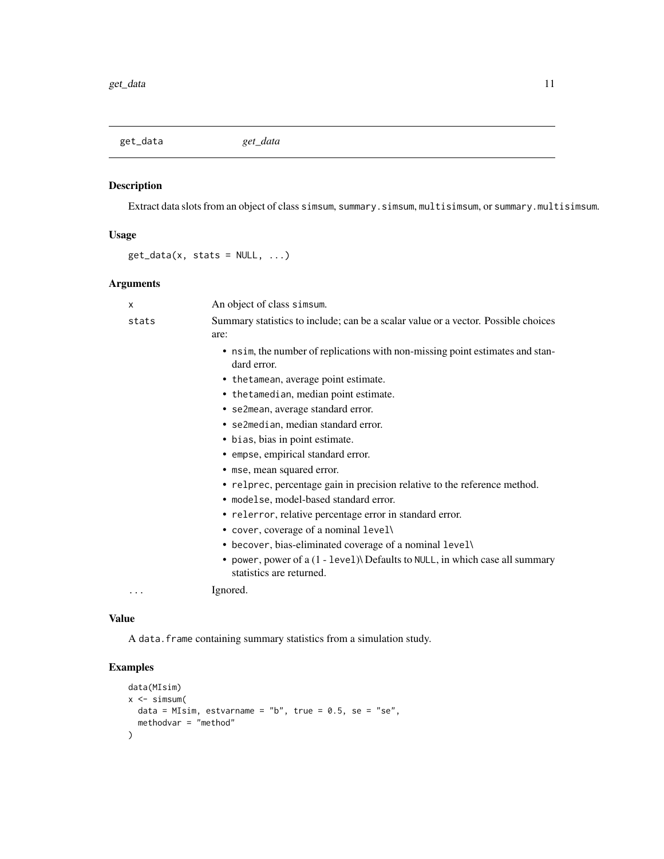<span id="page-10-0"></span>get\_data *get\_data*

## Description

Extract data slots from an object of class simsum, summary.simsum, multisimsum, or summary.multisimsum.

## Usage

 $get_data(x, stats = NULL, ...)$ 

## Arguments

| X     | An object of class simsum.                                                                              |
|-------|---------------------------------------------------------------------------------------------------------|
| stats | Summary statistics to include; can be a scalar value or a vector. Possible choices<br>are:              |
|       | • nsim, the number of replications with non-missing point estimates and stan-<br>dard error.            |
|       | • the tamean, average point estimate.                                                                   |
|       | • the tamedian, median point estimate.                                                                  |
|       | • se2mean, average standard error.                                                                      |
|       | • se2median, median standard error.                                                                     |
|       | • bias, bias in point estimate.                                                                         |
|       | • empse, empirical standard error.                                                                      |
|       | • mse, mean squared error.                                                                              |
|       | • relprec, percentage gain in precision relative to the reference method.                               |
|       | • modelse, model-based standard error.                                                                  |
|       | • relerror, relative percentage error in standard error.                                                |
|       | • cover, coverage of a nominal level\                                                                   |
|       | • becover, bias-eliminated coverage of a nominal level\                                                 |
|       | • power, power of a (1 - level) Defaults to NULL, in which case all summary<br>statistics are returned. |
| .     | Ignored.                                                                                                |

#### Value

A data.frame containing summary statistics from a simulation study.

```
data(MIsim)
x \leftarrow simsum(
  data = MIsim, estvarname = "b", true = 0.5, se = "se",
  methodvar = "method"
\mathcal{L}
```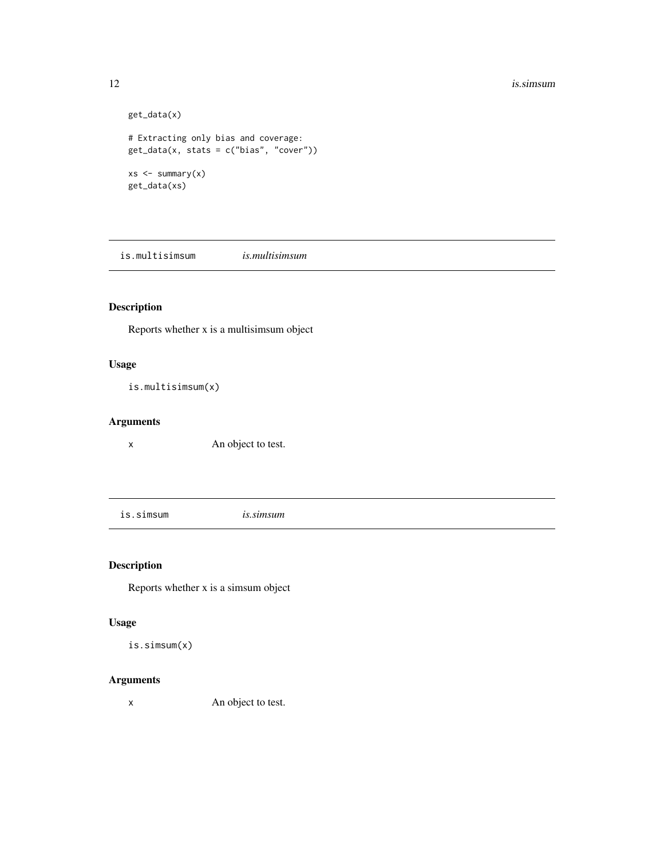#### <span id="page-11-0"></span>12 is.simsum

```
get_data(x)
# Extracting only bias and coverage:
get_data(x, stats = c("bias", "cover"))xs < - summary(x)get_data(xs)
```
is.multisimsum *is.multisimsum*

## Description

Reports whether x is a multisimsum object

## Usage

```
is.multisimsum(x)
```
## Arguments

x An object to test.

is.simsum *is.simsum*

## Description

Reports whether x is a simsum object

## Usage

is.simsum(x)

## Arguments

x An object to test.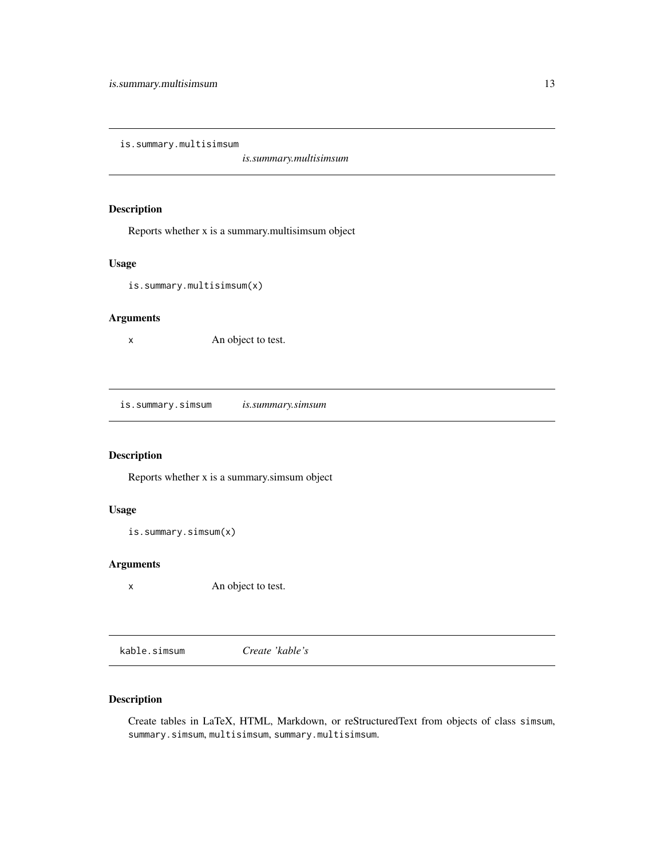<span id="page-12-0"></span>is.summary.multisimsum

*is.summary.multisimsum*

## Description

Reports whether x is a summary.multisimsum object

## Usage

is.summary.multisimsum(x)

## Arguments

x An object to test.

is.summary.simsum *is.summary.simsum*

## Description

Reports whether x is a summary.simsum object

## Usage

```
is.summary.simsum(x)
```
## Arguments

x An object to test.

kable.simsum *Create 'kable's*

## Description

Create tables in LaTeX, HTML, Markdown, or reStructuredText from objects of class simsum, summary.simsum, multisimsum, summary.multisimsum.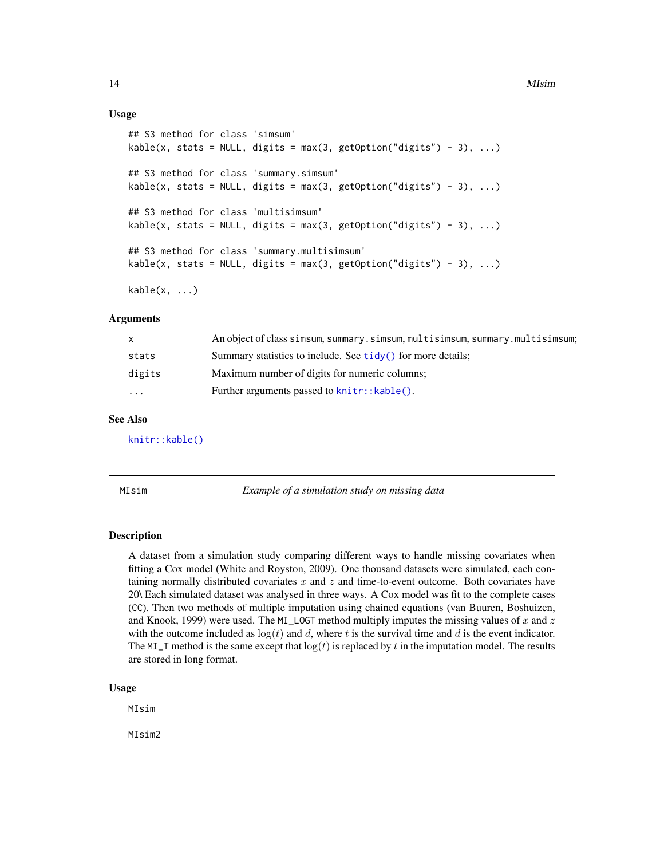#### <span id="page-13-0"></span>14 MIsim

#### Usage

```
## S3 method for class 'simsum'
kable(x, stats = NULL, digits = max(3, getOption("digits") - 3), ...)
## S3 method for class 'summary.simsum'
kable(x, stats = NULL, digits = max(3, getOption("digits") - 3), ...)
## S3 method for class 'multisimsum'
kable(x, stats = NULL, digits = max(3, getOption("digits") - 3), ...)
## S3 method for class 'summary.multisimsum'
kable(x, stats = NULL, digits = max(3, getOption("digits") - 3), ...)
kable(x, \ldots)
```
#### Arguments

|           | An object of class simsum, summary.simsum, multisimsum, summary.multisimsum; |
|-----------|------------------------------------------------------------------------------|
| stats     | Summary statistics to include. See tidy() for more details;                  |
| digits    | Maximum number of digits for numeric columns;                                |
| $\ddotsc$ | Further arguments passed to knitr:: kable().                                 |

## See Also

[knitr::kable\(\)](#page-0-0)

MIsim *Example of a simulation study on missing data*

## Description

A dataset from a simulation study comparing different ways to handle missing covariates when fitting a Cox model (White and Royston, 2009). One thousand datasets were simulated, each containing normally distributed covariates  $x$  and  $z$  and time-to-event outcome. Both covariates have 20\ Each simulated dataset was analysed in three ways. A Cox model was fit to the complete cases (CC). Then two methods of multiple imputation using chained equations (van Buuren, Boshuizen, and Knook, 1999) were used. The MI\_LOGT method multiply imputes the missing values of x and z with the outcome included as  $log(t)$  and d, where t is the survival time and d is the event indicator. The MI\_T method is the same except that  $log(t)$  is replaced by t in the imputation model. The results are stored in long format.

#### Usage

MIsim

MIsim2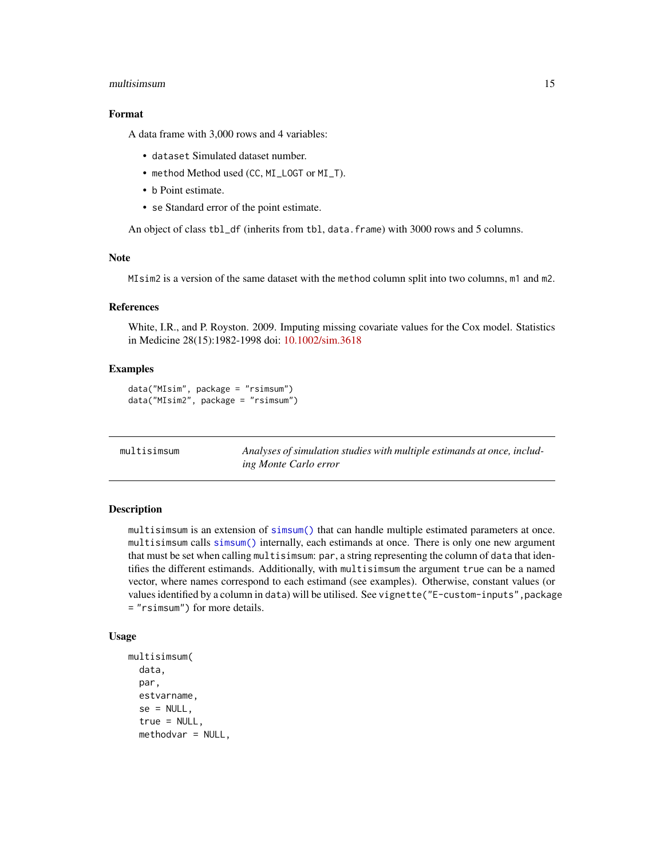#### <span id="page-14-0"></span>multisimsum 15

## Format

A data frame with 3,000 rows and 4 variables:

- dataset Simulated dataset number.
- method Method used (CC, MI\_LOGT or MI\_T).
- b Point estimate.
- se Standard error of the point estimate.

An object of class tbl\_df (inherits from tbl, data.frame) with 3000 rows and 5 columns.

## Note

MIsim2 is a version of the same dataset with the method column split into two columns, m1 and m2.

## References

White, I.R., and P. Royston. 2009. Imputing missing covariate values for the Cox model. Statistics in Medicine 28(15):1982-1998 doi: [10.1002/sim.3618](https://doi.org/10.1002/sim.3618)

#### Examples

```
data("MIsim", package = "rsimsum")
data("MIsim2", package = "rsimsum")
```
<span id="page-14-1"></span>

| multisimsum | Analyses of simulation studies with multiple estimands at once, includ- |
|-------------|-------------------------------------------------------------------------|
|             | ing Monte Carlo error                                                   |

## Description

multisimsum is an extension of [simsum\(\)](#page-24-1) that can handle multiple estimated parameters at once. multisimsum calls [simsum\(\)](#page-24-1) internally, each estimands at once. There is only one new argument that must be set when calling multisimsum: par, a string representing the column of data that identifies the different estimands. Additionally, with multisimsum the argument true can be a named vector, where names correspond to each estimand (see examples). Otherwise, constant values (or values identified by a column in data) will be utilised. See vignette("E-custom-inputs", package = "rsimsum") for more details.

```
multisimsum(
  data,
 par,
  estvarname,
  se = NULL,true = NULL,
  methodvar = NULL,
```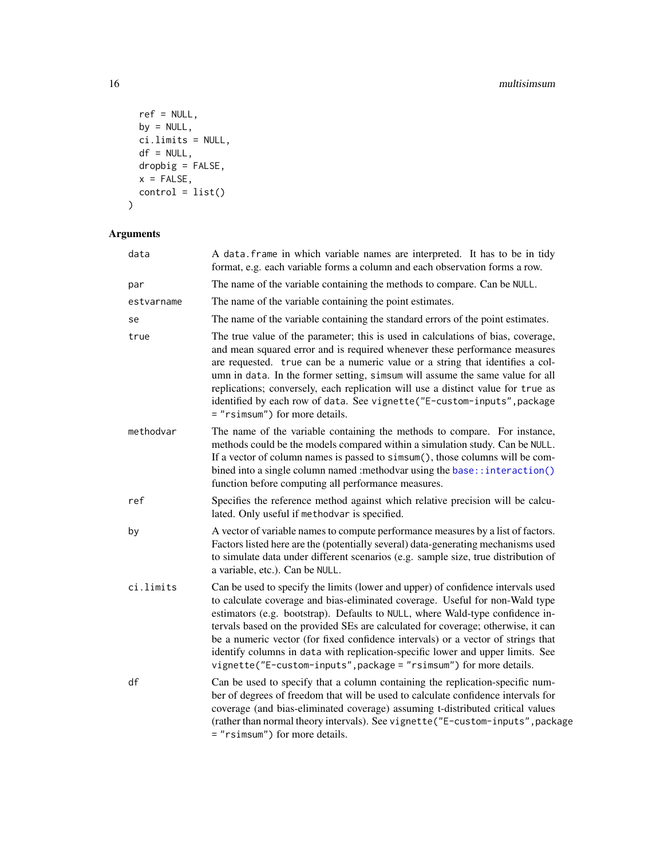```
ref = NULL,by = NULL,
  \overline{ci}. limits = NULL,
  df = NULL,drophig = FALSE,x = FALSE,
 control = list())
```
## Arguments

| data       | A data. frame in which variable names are interpreted. It has to be in tidy<br>format, e.g. each variable forms a column and each observation forms a row.                                                                                                                                                                                                                                                                                                                                                                                                                        |
|------------|-----------------------------------------------------------------------------------------------------------------------------------------------------------------------------------------------------------------------------------------------------------------------------------------------------------------------------------------------------------------------------------------------------------------------------------------------------------------------------------------------------------------------------------------------------------------------------------|
| par        | The name of the variable containing the methods to compare. Can be NULL.                                                                                                                                                                                                                                                                                                                                                                                                                                                                                                          |
| estvarname | The name of the variable containing the point estimates.                                                                                                                                                                                                                                                                                                                                                                                                                                                                                                                          |
| se         | The name of the variable containing the standard errors of the point estimates.                                                                                                                                                                                                                                                                                                                                                                                                                                                                                                   |
| true       | The true value of the parameter; this is used in calculations of bias, coverage,<br>and mean squared error and is required whenever these performance measures<br>are requested. true can be a numeric value or a string that identifies a col-<br>umn in data. In the former setting, simsum will assume the same value for all<br>replications; conversely, each replication will use a distinct value for true as<br>identified by each row of data. See vignette ("E-custom-inputs", package<br>= "rsimsum") for more details.                                                |
| methodvar  | The name of the variable containing the methods to compare. For instance,<br>methods could be the models compared within a simulation study. Can be NULL.<br>If a vector of column names is passed to simsum(), those columns will be com-<br>bined into a single column named : methodvar using the base:: interaction()<br>function before computing all performance measures.                                                                                                                                                                                                  |
| ref        | Specifies the reference method against which relative precision will be calcu-<br>lated. Only useful if methodvar is specified.                                                                                                                                                                                                                                                                                                                                                                                                                                                   |
| by         | A vector of variable names to compute performance measures by a list of factors.<br>Factors listed here are the (potentially several) data-generating mechanisms used<br>to simulate data under different scenarios (e.g. sample size, true distribution of<br>a variable, etc.). Can be NULL.                                                                                                                                                                                                                                                                                    |
| ci.limits  | Can be used to specify the limits (lower and upper) of confidence intervals used<br>to calculate coverage and bias-eliminated coverage. Useful for non-Wald type<br>estimators (e.g. bootstrap). Defaults to NULL, where Wald-type confidence in-<br>tervals based on the provided SEs are calculated for coverage; otherwise, it can<br>be a numeric vector (for fixed confidence intervals) or a vector of strings that<br>identify columns in data with replication-specific lower and upper limits. See<br>vignette("E-custom-inputs", package = "rsimsum") for more details. |
| df         | Can be used to specify that a column containing the replication-specific num-<br>ber of degrees of freedom that will be used to calculate confidence intervals for<br>coverage (and bias-eliminated coverage) assuming t-distributed critical values<br>(rather than normal theory intervals). See vignette ("E-custom-inputs", package<br>= "rsimsum") for more details.                                                                                                                                                                                                         |

<span id="page-15-0"></span>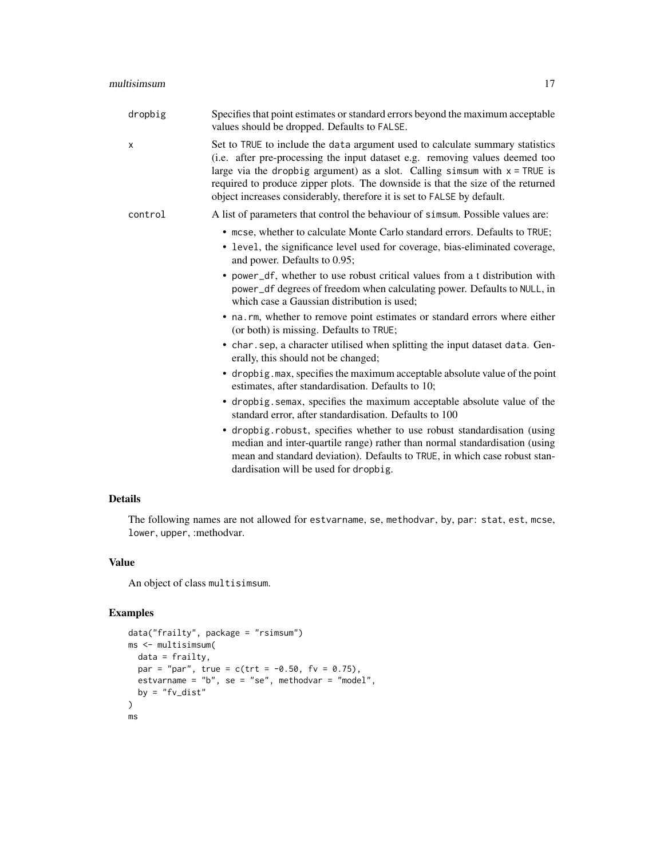| aximum accont |  |  |
|---------------|--|--|

dropbig Specifies that point estimates or standard errors beyond the maximum acceptable values should be dropped. Defaults to FALSE. x Set to TRUE to include the data argument used to calculate summary statistics (i.e. after pre-processing the input dataset e.g. removing values deemed too large via the dropbig argument) as a slot. Calling simsum with  $x = TRUE$  is required to produce zipper plots. The downside is that the size of the returned object increases considerably, therefore it is set to FALSE by default. control A list of parameters that control the behaviour of simsum. Possible values are: • mcse, whether to calculate Monte Carlo standard errors. Defaults to TRUE; • level, the significance level used for coverage, bias-eliminated coverage, and power. Defaults to 0.95; • power\_df, whether to use robust critical values from a t distribution with power\_df degrees of freedom when calculating power. Defaults to NULL, in which case a Gaussian distribution is used; • na.rm, whether to remove point estimates or standard errors where either (or both) is missing. Defaults to TRUE; • char.sep, a character utilised when splitting the input dataset data. Generally, this should not be changed; • dropbig.max, specifies the maximum acceptable absolute value of the point estimates, after standardisation. Defaults to 10; • dropbig.semax, specifies the maximum acceptable absolute value of the standard error, after standardisation. Defaults to 100 • dropbig.robust, specifies whether to use robust standardisation (using median and inter-quartile range) rather than normal standardisation (using mean and standard deviation). Defaults to TRUE, in which case robust standardisation will be used for dropbig.

#### Details

The following names are not allowed for estvarname, se, methodvar, by, par: stat, est, mcse, lower, upper, :methodvar.

## Value

An object of class multisimsum.

```
data("frailty", package = "rsimsum")
ms <- multisimsum(
 data = frailty,
 par = "par", true = c(trt = -0.50, fv = 0.75),
 estvarname = "b", se = "se", methodvar = "model",
 by = "fv\_dist")
ms
```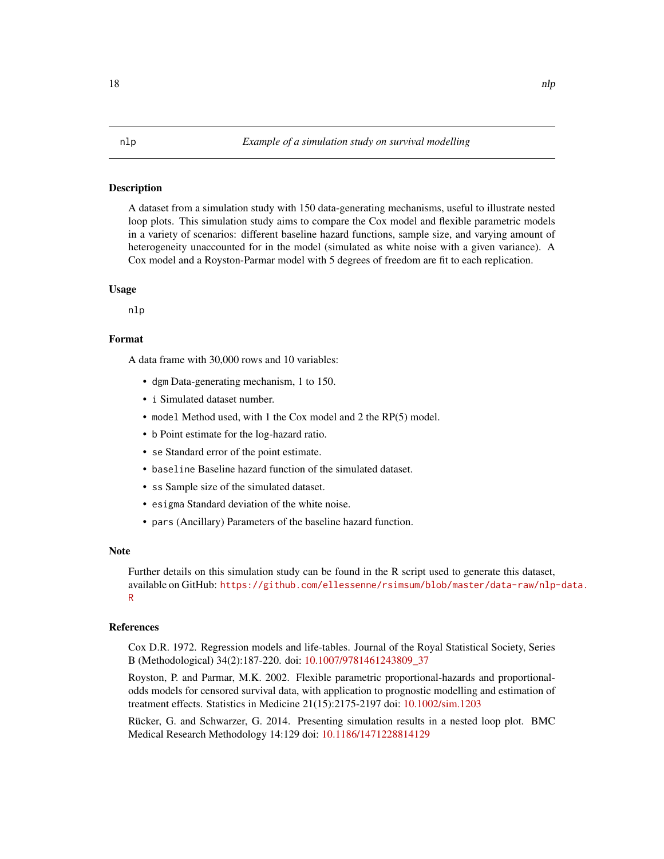#### <span id="page-17-0"></span>**Description**

A dataset from a simulation study with 150 data-generating mechanisms, useful to illustrate nested loop plots. This simulation study aims to compare the Cox model and flexible parametric models in a variety of scenarios: different baseline hazard functions, sample size, and varying amount of heterogeneity unaccounted for in the model (simulated as white noise with a given variance). A Cox model and a Royston-Parmar model with 5 degrees of freedom are fit to each replication.

### Usage

nlp

## Format

A data frame with 30,000 rows and 10 variables:

- dgm Data-generating mechanism, 1 to 150.
- i Simulated dataset number.
- model Method used, with 1 the Cox model and 2 the RP(5) model.
- b Point estimate for the log-hazard ratio.
- se Standard error of the point estimate.
- baseline Baseline hazard function of the simulated dataset.
- ss Sample size of the simulated dataset.
- esigma Standard deviation of the white noise.
- pars (Ancillary) Parameters of the baseline hazard function.

#### **Note**

Further details on this simulation study can be found in the R script used to generate this dataset, available on GitHub: [https://github.com/ellessenne/rsimsum/blob/master/data-raw/nlp-](https://github.com/ellessenne/rsimsum/blob/master/data-raw/nlp-data.R)data. [R](https://github.com/ellessenne/rsimsum/blob/master/data-raw/nlp-data.R)

#### References

Cox D.R. 1972. Regression models and life-tables. Journal of the Royal Statistical Society, Series B (Methodological) 34(2):187-220. doi: [10.1007/9781461243809\\_37](https://doi.org/10.1007/978-1-4612-4380-9_37)

Royston, P. and Parmar, M.K. 2002. Flexible parametric proportional-hazards and proportionalodds models for censored survival data, with application to prognostic modelling and estimation of treatment effects. Statistics in Medicine 21(15):2175-2197 doi: [10.1002/sim.1203](https://doi.org/10.1002/sim.1203)

Rücker, G. and Schwarzer, G. 2014. Presenting simulation results in a nested loop plot. BMC Medical Research Methodology 14:129 doi: [10.1186/1471228814129](https://doi.org/10.1186/1471-2288-14-129)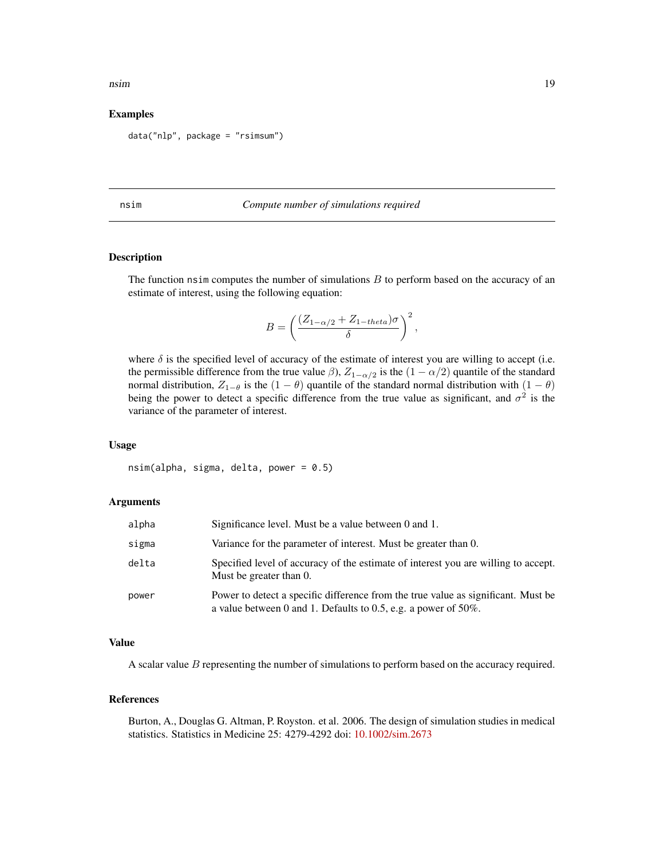#### <span id="page-18-0"></span>nsim and the contract of the contract of the contract of the contract of the contract of the contract of the contract of the contract of the contract of the contract of the contract of the contract of the contract of the c

#### Examples

data("nlp", package = "rsimsum")

#### nsim *Compute number of simulations required*

#### Description

The function nsim computes the number of simulations  $B$  to perform based on the accuracy of an estimate of interest, using the following equation:

$$
B = \left(\frac{(Z_{1-\alpha/2} + Z_{1-theta})\sigma}{\delta}\right)^2,
$$

where  $\delta$  is the specified level of accuracy of the estimate of interest you are willing to accept (i.e. the permissible difference from the true value  $\beta$ ),  $Z_{1-\alpha/2}$  is the  $(1-\alpha/2)$  quantile of the standard normal distribution,  $Z_{1-\theta}$  is the  $(1-\theta)$  quantile of the standard normal distribution with  $(1-\theta)$ being the power to detect a specific difference from the true value as significant, and  $\sigma^2$  is the variance of the parameter of interest.

#### Usage

 $nsim(alpha, sigma, delta, power = 0.5)$ 

## Arguments

| alpha | Significance level. Must be a value between 0 and 1.                                                                                                    |
|-------|---------------------------------------------------------------------------------------------------------------------------------------------------------|
| sigma | Variance for the parameter of interest. Must be greater than 0.                                                                                         |
| delta | Specified level of accuracy of the estimate of interest you are willing to accept.<br>Must be greater than 0.                                           |
| power | Power to detect a specific difference from the true value as significant. Must be<br>a value between 0 and 1. Defaults to 0.5, e.g. a power of $50\%$ . |

#### Value

A scalar value  $B$  representing the number of simulations to perform based on the accuracy required.

#### References

Burton, A., Douglas G. Altman, P. Royston. et al. 2006. The design of simulation studies in medical statistics. Statistics in Medicine 25: 4279-4292 doi: [10.1002/sim.2673](https://doi.org/10.1002/sim.2673)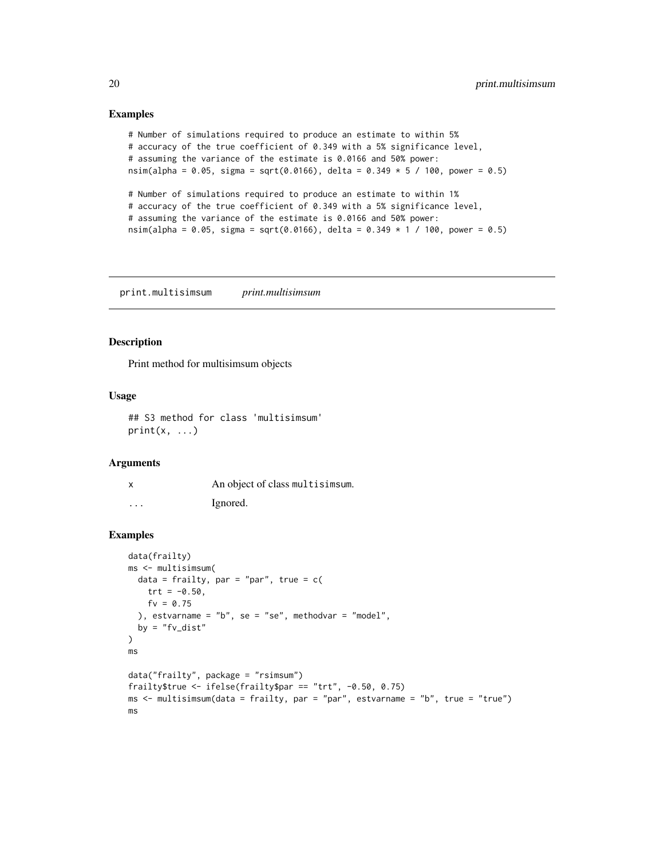#### Examples

```
# Number of simulations required to produce an estimate to within 5%
# accuracy of the true coefficient of 0.349 with a 5% significance level,
# assuming the variance of the estimate is 0.0166 and 50% power:
nsim(alpha = 0.05, sigma = sqrt(0.0166), delta = 0.349 * 5 / 100, power = 0.5)
# Number of simulations required to produce an estimate to within 1%
# accuracy of the true coefficient of 0.349 with a 5% significance level,
# assuming the variance of the estimate is 0.0166 and 50% power:
nsim(alpha = 0.05, sigma = sqrt(0.0166), delta = 0.349 \star 1 / 100, power = 0.5)
```
print.multisimsum *print.multisimsum*

#### Description

Print method for multisimsum objects

#### Usage

## S3 method for class 'multisimsum'  $print(x, \ldots)$ 

## Arguments

| x       | An object of class multisimsum. |
|---------|---------------------------------|
| $\cdot$ | Ignored.                        |

```
data(frailty)
ms <- multisimsum(
 data = frailty, par = "par", true = c(trt = -0.50,
   fv = 0.75), estvarname = "b", se = "se", methodvar = "model",
  by = "fv\_dist")
ms
data("frailty", package = "rsimsum")
frailty$true <- ifelse(frailty$par == "trt", -0.50, 0.75)
ms <- multisimsum(data = frailty, par = "par", estvarname = "b", true = "true")
ms
```
<span id="page-19-0"></span>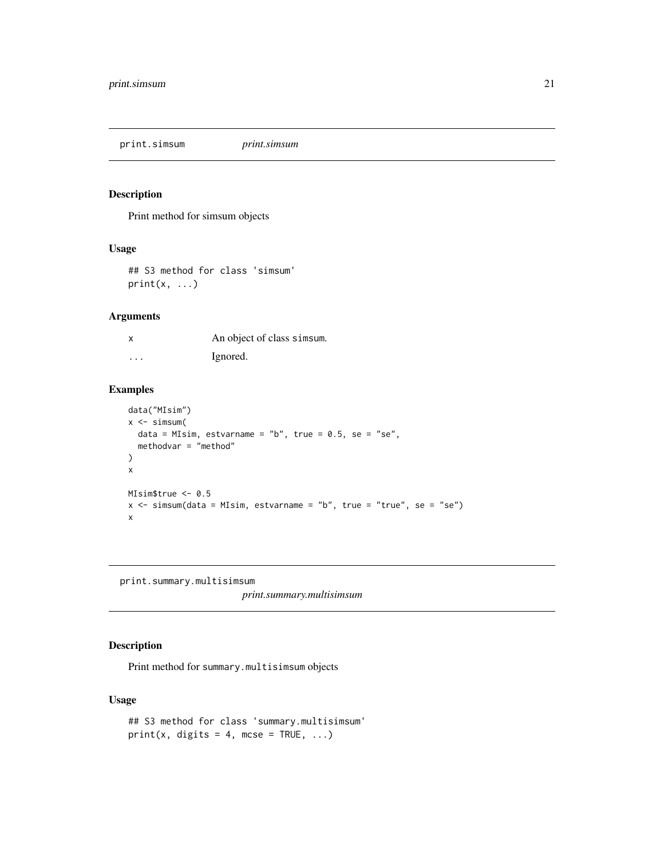<span id="page-20-0"></span>print.simsum *print.simsum*

## Description

Print method for simsum objects

#### Usage

## S3 method for class 'simsum'  $print(x, \ldots)$ 

## Arguments

|          | An object of class simsum. |
|----------|----------------------------|
| $\cdots$ | Ignored.                   |

## Examples

```
data("MIsim")
x \leftarrow simsum(
 data = MIsim, estvarname = "b", true = 0.5, se = "se",
  methodvar = "method"
)
x
MIsim$true <- 0.5
x \le - simsum(data = MIsim, estvarname = "b", true = "true", se = "se")
x
```
<span id="page-20-1"></span>print.summary.multisimsum

*print.summary.multisimsum*

## Description

Print method for summary.multisimsum objects

```
## S3 method for class 'summary.multisimsum'
print(x, \text{ digits} = 4, \text{ m} \text{c} \text{se} = \text{TRUE}, \dots)
```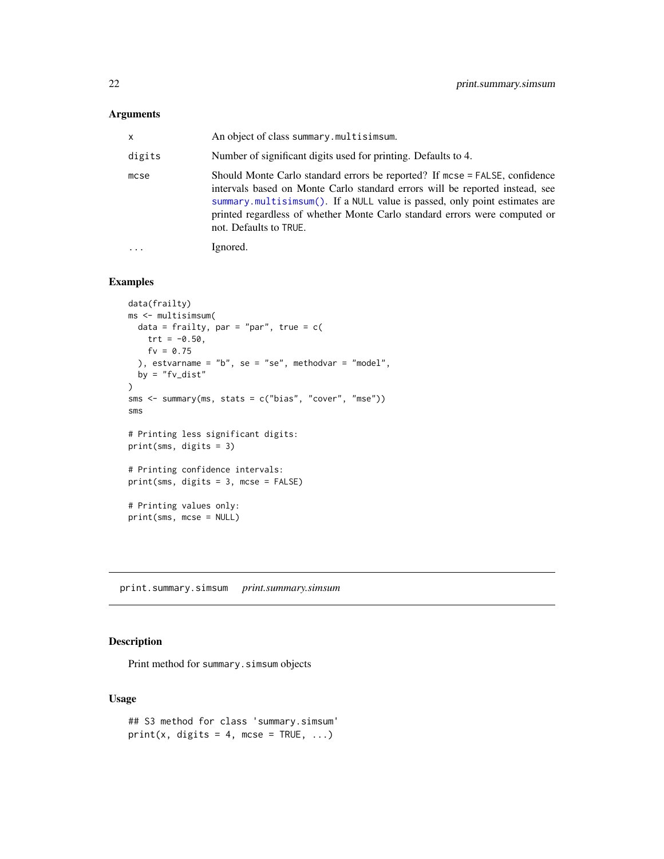## <span id="page-21-0"></span>Arguments

| x         | An object of class summary.multisimsum.                                                                                                                                                                                                                                                                                                           |
|-----------|---------------------------------------------------------------------------------------------------------------------------------------------------------------------------------------------------------------------------------------------------------------------------------------------------------------------------------------------------|
| digits    | Number of significant digits used for printing. Defaults to 4.                                                                                                                                                                                                                                                                                    |
| mcse      | Should Monte Carlo standard errors be reported? If mcse = FALSE, confidence<br>intervals based on Monte Carlo standard errors will be reported instead, see<br>summary.multisimsum(). If a NULL value is passed, only point estimates are<br>printed regardless of whether Monte Carlo standard errors were computed or<br>not. Defaults to TRUE. |
| $\ddotsc$ | Ignored.                                                                                                                                                                                                                                                                                                                                          |

## Examples

```
data(frailty)
ms <- multisimsum(
 data = frailty, par = "par", true = c(
   trt = -0.50,
   fv = 0.75), estvarname = "b", se = "se", methodvar = "model",
 by = "fv\_dist")
sms <- summary(ms, stats = c("bias", "cover", "mse"))
sms
# Printing less significant digits:
print(sms, digits = 3)
# Printing confidence intervals:
print(sms, digits = 3, mcse = FALSE)
# Printing values only:
print(sms, mcse = NULL)
```
<span id="page-21-1"></span>print.summary.simsum *print.summary.simsum*

## Description

Print method for summary.simsum objects

```
## S3 method for class 'summary.simsum'
print(x, \text{ digits} = 4, \text{ m} \text{c} \text{se} = \text{TRUE}, \dots)
```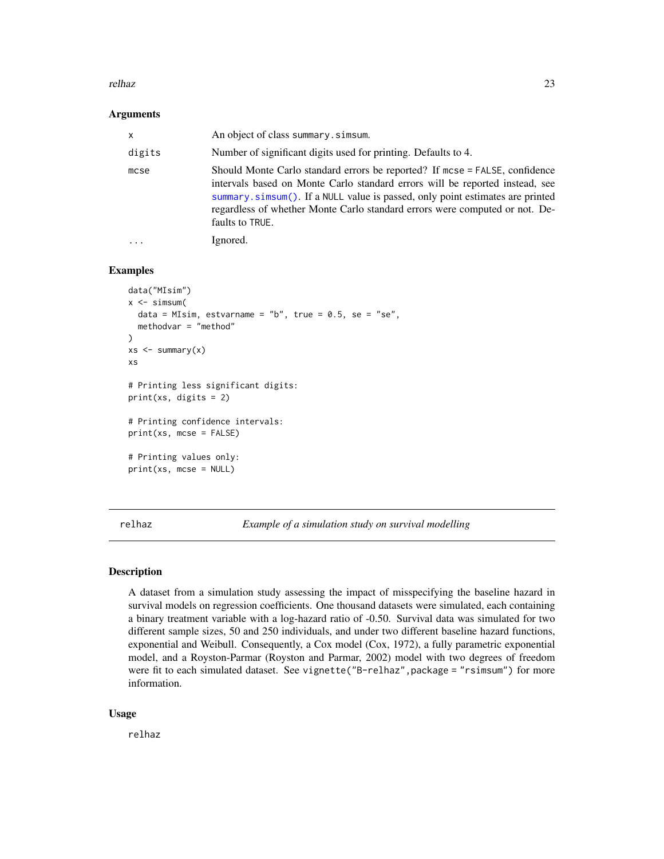#### <span id="page-22-0"></span>relhaz 23

#### **Arguments**

| $\mathsf{x}$ | An object of class summary. simsum.                                                                                                                                                                                                                                                                                                            |
|--------------|------------------------------------------------------------------------------------------------------------------------------------------------------------------------------------------------------------------------------------------------------------------------------------------------------------------------------------------------|
| digits       | Number of significant digits used for printing. Defaults to 4.                                                                                                                                                                                                                                                                                 |
| mcse         | Should Monte Carlo standard errors be reported? If mcse = FALSE, confidence<br>intervals based on Monte Carlo standard errors will be reported instead, see<br>summary.simsum(). If a NULL value is passed, only point estimates are printed<br>regardless of whether Monte Carlo standard errors were computed or not. De-<br>faults to TRUE. |
|              | Ignored.                                                                                                                                                                                                                                                                                                                                       |

## Examples

```
data("MIsim")
x \leftarrow simsum(
 data = MIsim, estvarname = "b", true = 0.5, se = "se",
 methodvar = "method"
)
xs < - summary(x)xs
# Printing less significant digits:
print(xs, digits = 2)# Printing confidence intervals:
print(xs, mcse = FALSE)
# Printing values only:
print(xs, mcse = NULL)
```
relhaz *Example of a simulation study on survival modelling*

#### Description

A dataset from a simulation study assessing the impact of misspecifying the baseline hazard in survival models on regression coefficients. One thousand datasets were simulated, each containing a binary treatment variable with a log-hazard ratio of -0.50. Survival data was simulated for two different sample sizes, 50 and 250 individuals, and under two different baseline hazard functions, exponential and Weibull. Consequently, a Cox model (Cox, 1972), a fully parametric exponential model, and a Royston-Parmar (Royston and Parmar, 2002) model with two degrees of freedom were fit to each simulated dataset. See vignette("B-relhaz", package = "rsimsum") for more information.

#### Usage

relhaz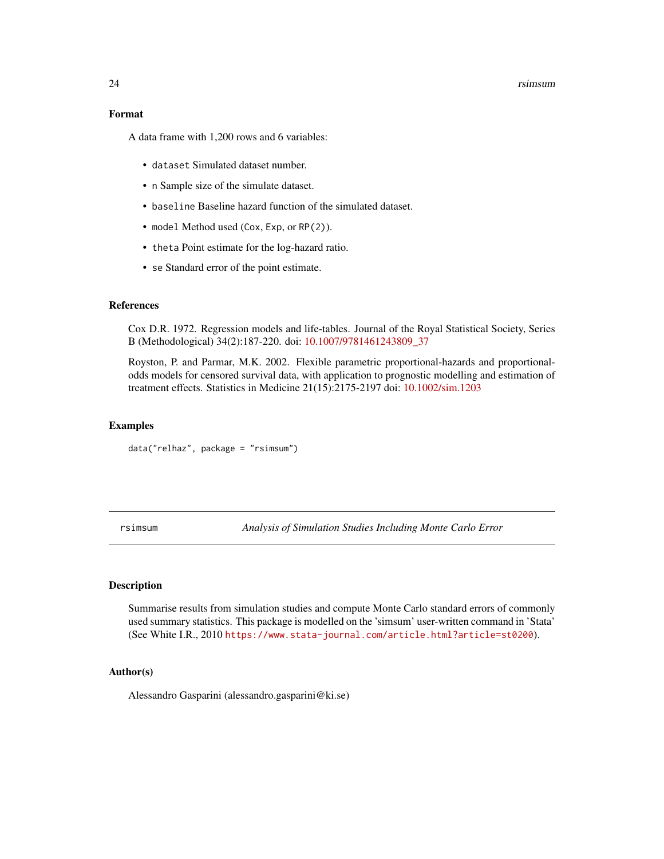#### 24 rsimsum and the contract of the contract of the contract of the contract of the contract of the contract of

#### Format

A data frame with 1,200 rows and 6 variables:

- dataset Simulated dataset number.
- n Sample size of the simulate dataset.
- baseline Baseline hazard function of the simulated dataset.
- model Method used (Cox, Exp, or RP(2)).
- theta Point estimate for the log-hazard ratio.
- se Standard error of the point estimate.

## References

Cox D.R. 1972. Regression models and life-tables. Journal of the Royal Statistical Society, Series B (Methodological) 34(2):187-220. doi: [10.1007/9781461243809\\_37](https://doi.org/10.1007/978-1-4612-4380-9_37)

Royston, P. and Parmar, M.K. 2002. Flexible parametric proportional-hazards and proportionalodds models for censored survival data, with application to prognostic modelling and estimation of treatment effects. Statistics in Medicine 21(15):2175-2197 doi: [10.1002/sim.1203](https://doi.org/10.1002/sim.1203)

#### Examples

data("relhaz", package = "rsimsum")

rsimsum *Analysis of Simulation Studies Including Monte Carlo Error*

## Description

Summarise results from simulation studies and compute Monte Carlo standard errors of commonly used summary statistics. This package is modelled on the 'simsum' user-written command in 'Stata' (See White I.R., 2010 <https://www.stata-journal.com/article.html?article=st0200>).

#### Author(s)

Alessandro Gasparini (alessandro.gasparini@ki.se)

<span id="page-23-0"></span>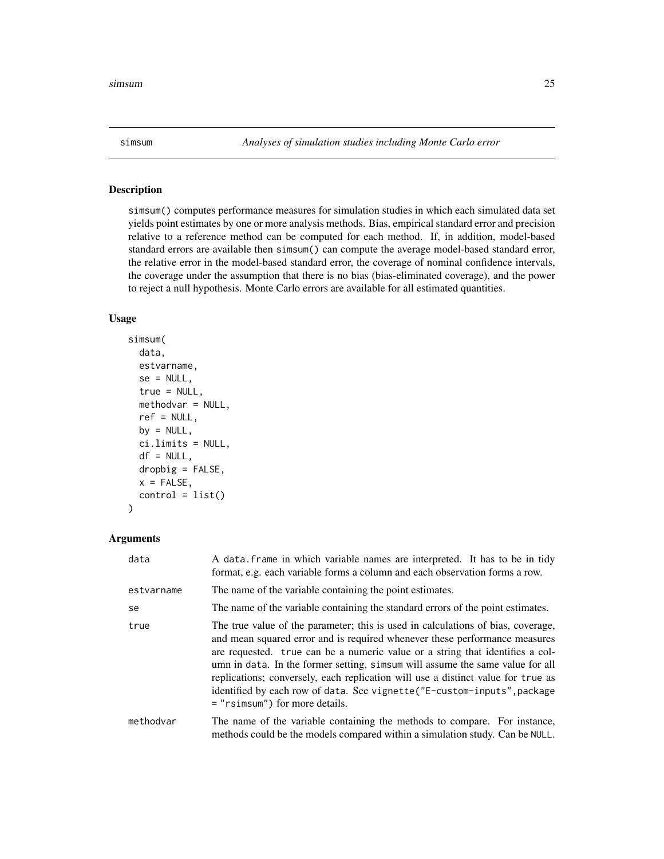<span id="page-24-1"></span><span id="page-24-0"></span>

## Description

simsum() computes performance measures for simulation studies in which each simulated data set yields point estimates by one or more analysis methods. Bias, empirical standard error and precision relative to a reference method can be computed for each method. If, in addition, model-based standard errors are available then simsum() can compute the average model-based standard error, the relative error in the model-based standard error, the coverage of nominal confidence intervals, the coverage under the assumption that there is no bias (bias-eliminated coverage), and the power to reject a null hypothesis. Monte Carlo errors are available for all estimated quantities.

#### Usage

```
simsum(
 data,
  estvarname,
  se = NULL,true = NULL,methodvar = NULL,
  ref = NULL,
 by = NULL,
  ci.limits = NULL,
  df = NULL,drophy = FALSE,x =FALSE,
  control = list()\mathcal{E}
```
#### Arguments

| data       | A data frame in which variable names are interpreted. It has to be in tidy<br>format, e.g. each variable forms a column and each observation forms a row.                                                                                                                                                                                                                                                                                                                                                                         |
|------------|-----------------------------------------------------------------------------------------------------------------------------------------------------------------------------------------------------------------------------------------------------------------------------------------------------------------------------------------------------------------------------------------------------------------------------------------------------------------------------------------------------------------------------------|
| estvarname | The name of the variable containing the point estimates.                                                                                                                                                                                                                                                                                                                                                                                                                                                                          |
| se         | The name of the variable containing the standard errors of the point estimates.                                                                                                                                                                                                                                                                                                                                                                                                                                                   |
| true       | The true value of the parameter; this is used in calculations of bias, coverage,<br>and mean squared error and is required whenever these performance measures<br>are requested. true can be a numeric value or a string that identifies a col-<br>umn in data. In the former setting, simsum will assume the same value for all<br>replications; conversely, each replication will use a distinct value for true as<br>identified by each row of data. See vignette("E-custom-inputs", package<br>= "rsimsum") for more details. |
| methodvar  | The name of the variable containing the methods to compare. For instance,<br>methods could be the models compared within a simulation study. Can be NULL.                                                                                                                                                                                                                                                                                                                                                                         |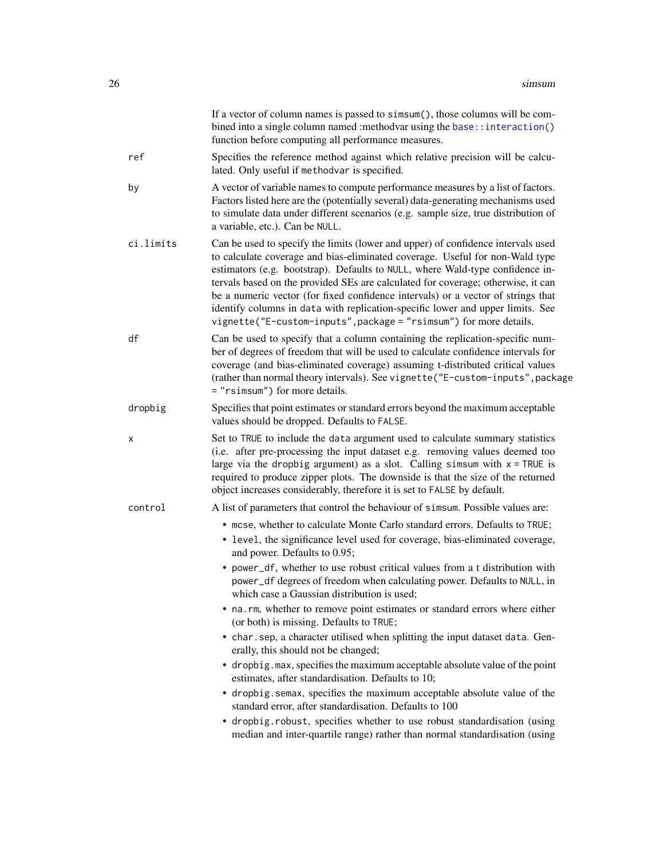<span id="page-25-0"></span>

|           | If a vector of column names is passed to simsum(), those columns will be com-<br>bined into a single column named : methodvar using the base:: interaction()<br>function before computing all performance measures.                                                                                                                                                                                                                                                                                                                                                               |
|-----------|-----------------------------------------------------------------------------------------------------------------------------------------------------------------------------------------------------------------------------------------------------------------------------------------------------------------------------------------------------------------------------------------------------------------------------------------------------------------------------------------------------------------------------------------------------------------------------------|
| ref       | Specifies the reference method against which relative precision will be calcu-<br>lated. Only useful if methodvar is specified.                                                                                                                                                                                                                                                                                                                                                                                                                                                   |
| by        | A vector of variable names to compute performance measures by a list of factors.<br>Factors listed here are the (potentially several) data-generating mechanisms used<br>to simulate data under different scenarios (e.g. sample size, true distribution of<br>a variable, etc.). Can be NULL.                                                                                                                                                                                                                                                                                    |
| ci.limits | Can be used to specify the limits (lower and upper) of confidence intervals used<br>to calculate coverage and bias-eliminated coverage. Useful for non-Wald type<br>estimators (e.g. bootstrap). Defaults to NULL, where Wald-type confidence in-<br>tervals based on the provided SEs are calculated for coverage; otherwise, it can<br>be a numeric vector (for fixed confidence intervals) or a vector of strings that<br>identify columns in data with replication-specific lower and upper limits. See<br>vignette("E-custom-inputs", package = "rsimsum") for more details. |
| df        | Can be used to specify that a column containing the replication-specific num-<br>ber of degrees of freedom that will be used to calculate confidence intervals for<br>coverage (and bias-eliminated coverage) assuming t-distributed critical values<br>(rather than normal theory intervals). See vignette ("E-custom-inputs", package<br>= "rsimsum") for more details.                                                                                                                                                                                                         |
| dropbig   | Specifies that point estimates or standard errors beyond the maximum acceptable<br>values should be dropped. Defaults to FALSE.                                                                                                                                                                                                                                                                                                                                                                                                                                                   |
| х         | Set to TRUE to include the data argument used to calculate summary statistics<br>(i.e. after pre-processing the input dataset e.g. removing values deemed too<br>large via the dropbig argument) as a slot. Calling simsum with $x = TRUE$ is<br>required to produce zipper plots. The downside is that the size of the returned<br>object increases considerably, therefore it is set to FALSE by default.                                                                                                                                                                       |
| control   | A list of parameters that control the behaviour of simsum. Possible values are:                                                                                                                                                                                                                                                                                                                                                                                                                                                                                                   |
|           | • mcse, whether to calculate Monte Carlo standard errors. Defaults to TRUE;<br>• level, the significance level used for coverage, bias-eliminated coverage,<br>and power. Defaults to 0.95;                                                                                                                                                                                                                                                                                                                                                                                       |
|           | • power_df, whether to use robust critical values from a t distribution with<br>power_df degrees of freedom when calculating power. Defaults to NULL, in<br>which case a Gaussian distribution is used;                                                                                                                                                                                                                                                                                                                                                                           |
|           | • na.rm, whether to remove point estimates or standard errors where either<br>(or both) is missing. Defaults to TRUE;                                                                                                                                                                                                                                                                                                                                                                                                                                                             |
|           | • char.sep, a character utilised when splitting the input dataset data. Gen-<br>erally, this should not be changed;                                                                                                                                                                                                                                                                                                                                                                                                                                                               |
|           | • dropbig. max, specifies the maximum acceptable absolute value of the point<br>estimates, after standardisation. Defaults to 10;                                                                                                                                                                                                                                                                                                                                                                                                                                                 |
|           | • dropbig. semax, specifies the maximum acceptable absolute value of the<br>standard error, after standardisation. Defaults to 100                                                                                                                                                                                                                                                                                                                                                                                                                                                |
|           | • dropbig.robust, specifies whether to use robust standardisation (using<br>median and inter-quartile range) rather than normal standardisation (using                                                                                                                                                                                                                                                                                                                                                                                                                            |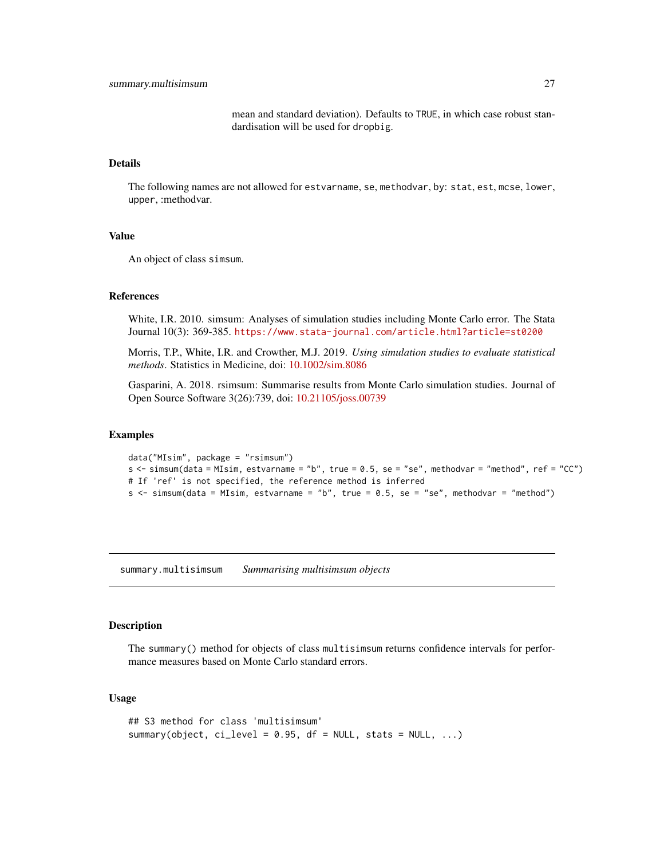mean and standard deviation). Defaults to TRUE, in which case robust standardisation will be used for dropbig.

#### <span id="page-26-0"></span>Details

The following names are not allowed for estvarname, se, methodvar, by: stat, est, mcse, lower, upper, :methodvar.

## Value

An object of class simsum.

#### References

White, I.R. 2010. simsum: Analyses of simulation studies including Monte Carlo error. The Stata Journal 10(3): 369-385. <https://www.stata-journal.com/article.html?article=st0200>

Morris, T.P., White, I.R. and Crowther, M.J. 2019. *Using simulation studies to evaluate statistical methods*. Statistics in Medicine, doi: [10.1002/sim.8086](https://doi.org/10.1002/sim.8086)

Gasparini, A. 2018. rsimsum: Summarise results from Monte Carlo simulation studies. Journal of Open Source Software 3(26):739, doi: [10.21105/joss.00739](https://doi.org/10.21105/joss.00739)

#### Examples

```
data("MIsim", package = "rsimsum")
s <- simsum(data = MIsim, estvarname = "b", true = 0.5, se = "se", methodvar = "method", ref = "CC")
# If 'ref' is not specified, the reference method is inferred
s \le simsum(data = MIsim, estvarname = "b", true = 0.5, se = "se", methodvar = "method")
```
<span id="page-26-1"></span>summary.multisimsum *Summarising multisimsum objects*

## Description

The summary() method for objects of class multisimsum returns confidence intervals for performance measures based on Monte Carlo standard errors.

```
## S3 method for class 'multisimsum'
summary(object, ci_level = 0.95, df = NULL, stats = NULL, ...)
```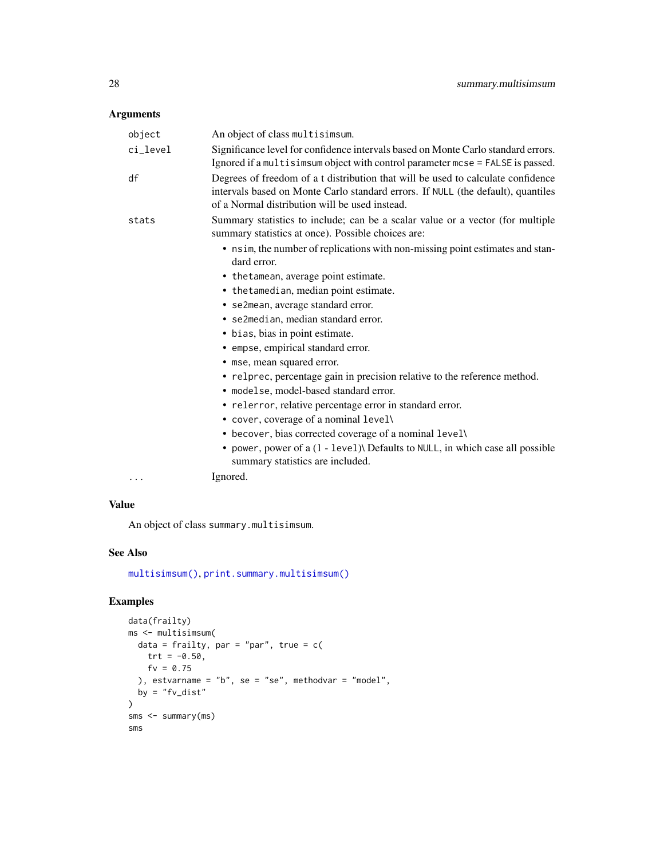## <span id="page-27-0"></span>Arguments

| object   | An object of class multisimsum.                                                                                                                                                                                        |
|----------|------------------------------------------------------------------------------------------------------------------------------------------------------------------------------------------------------------------------|
| ci_level | Significance level for confidence intervals based on Monte Carlo standard errors.<br>Ignored if a multisimsum object with control parameter mcse = FALSE is passed.                                                    |
| df       | Degrees of freedom of a t distribution that will be used to calculate confidence<br>intervals based on Monte Carlo standard errors. If NULL (the default), quantiles<br>of a Normal distribution will be used instead. |
| stats    | Summary statistics to include; can be a scalar value or a vector (for multiple<br>summary statistics at once). Possible choices are:                                                                                   |
|          | • nsim, the number of replications with non-missing point estimates and stan-<br>dard error.                                                                                                                           |
|          | • the tamean, average point estimate.                                                                                                                                                                                  |
|          | • the tamedian, median point estimate.                                                                                                                                                                                 |
|          | • se2mean, average standard error.                                                                                                                                                                                     |
|          | • se2median, median standard error.                                                                                                                                                                                    |
|          | • bias, bias in point estimate.                                                                                                                                                                                        |
|          | • empse, empirical standard error.                                                                                                                                                                                     |
|          | • mse, mean squared error.                                                                                                                                                                                             |
|          | • relprec, percentage gain in precision relative to the reference method.                                                                                                                                              |
|          | · modelse, model-based standard error.                                                                                                                                                                                 |
|          | • relerror, relative percentage error in standard error.                                                                                                                                                               |
|          | • cover, coverage of a nominal level\                                                                                                                                                                                  |
|          | • becover, bias corrected coverage of a nominal level\                                                                                                                                                                 |
|          | • power, power of a (1 - level)\ Defaults to NULL, in which case all possible<br>summary statistics are included.                                                                                                      |
| .        | Ignored.                                                                                                                                                                                                               |

## Value

An object of class summary.multisimsum.

## See Also

[multisimsum\(\)](#page-14-1), [print.summary.multisimsum\(\)](#page-20-1)

```
data(frailty)
ms <- multisimsum(
 data = frailty, par = "par", true = c(trt = -0.50,
   fv = 0.75), estvarname = "b", se = "se", methodvar = "model",
 by = "fv\_dist")
sms <- summary(ms)
sms
```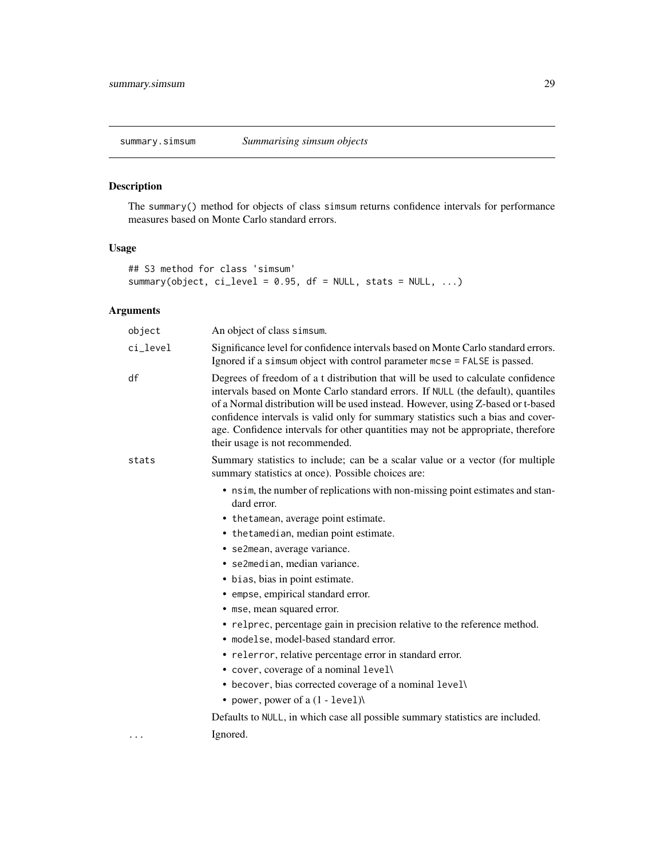<span id="page-28-1"></span><span id="page-28-0"></span>

## Description

The summary() method for objects of class simsum returns confidence intervals for performance measures based on Monte Carlo standard errors.

## Usage

```
## S3 method for class 'simsum'
summary(object, ci_level = 0.95, df = NULL, stats = NULL, ...)
```
## Arguments

| object   | An object of class simsum.                                                                                                                                                                                                                                                                                                                                                                                                                                          |
|----------|---------------------------------------------------------------------------------------------------------------------------------------------------------------------------------------------------------------------------------------------------------------------------------------------------------------------------------------------------------------------------------------------------------------------------------------------------------------------|
| ci_level | Significance level for confidence intervals based on Monte Carlo standard errors.<br>Ignored if a simsum object with control parameter mcse = FALSE is passed.                                                                                                                                                                                                                                                                                                      |
| df       | Degrees of freedom of a t distribution that will be used to calculate confidence<br>intervals based on Monte Carlo standard errors. If NULL (the default), quantiles<br>of a Normal distribution will be used instead. However, using Z-based or t-based<br>confidence intervals is valid only for summary statistics such a bias and cover-<br>age. Confidence intervals for other quantities may not be appropriate, therefore<br>their usage is not recommended. |
| stats    | Summary statistics to include; can be a scalar value or a vector (for multiple<br>summary statistics at once). Possible choices are:                                                                                                                                                                                                                                                                                                                                |
|          | • nsim, the number of replications with non-missing point estimates and stan-<br>dard error.                                                                                                                                                                                                                                                                                                                                                                        |
|          | • the tamean, average point estimate.                                                                                                                                                                                                                                                                                                                                                                                                                               |
|          | • the tamedian, median point estimate.                                                                                                                                                                                                                                                                                                                                                                                                                              |
|          | • se2mean, average variance.                                                                                                                                                                                                                                                                                                                                                                                                                                        |
|          | • se2median, median variance.                                                                                                                                                                                                                                                                                                                                                                                                                                       |
|          | • bias, bias in point estimate.                                                                                                                                                                                                                                                                                                                                                                                                                                     |
|          | • empse, empirical standard error.                                                                                                                                                                                                                                                                                                                                                                                                                                  |
|          | • mse, mean squared error.                                                                                                                                                                                                                                                                                                                                                                                                                                          |
|          | • relprec, percentage gain in precision relative to the reference method.                                                                                                                                                                                                                                                                                                                                                                                           |
|          | • modelse, model-based standard error.                                                                                                                                                                                                                                                                                                                                                                                                                              |
|          | • relerror, relative percentage error in standard error.                                                                                                                                                                                                                                                                                                                                                                                                            |
|          | • cover, coverage of a nominal level\                                                                                                                                                                                                                                                                                                                                                                                                                               |
|          | • becover, bias corrected coverage of a nominal level\                                                                                                                                                                                                                                                                                                                                                                                                              |
|          | • power, power of $a(1 - level)$                                                                                                                                                                                                                                                                                                                                                                                                                                    |
|          | Defaults to NULL, in which case all possible summary statistics are included.                                                                                                                                                                                                                                                                                                                                                                                       |
| .        | Ignored.                                                                                                                                                                                                                                                                                                                                                                                                                                                            |
|          |                                                                                                                                                                                                                                                                                                                                                                                                                                                                     |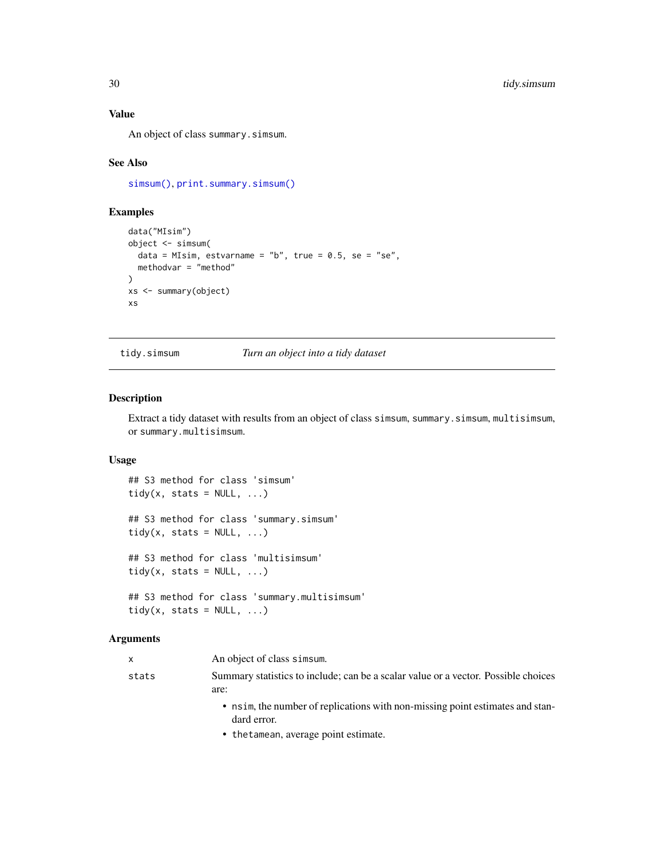## <span id="page-29-0"></span>Value

An object of class summary.simsum.

#### See Also

[simsum\(\)](#page-24-1), [print.summary.simsum\(\)](#page-21-1)

## Examples

```
data("MIsim")
object <- simsum(
  data = MIsim, estvarname = "b", true = 0.5, se = "se",
  methodvar = "method"
\lambdaxs <- summary(object)
xs
```
tidy.simsum *Turn an object into a tidy dataset*

#### Description

Extract a tidy dataset with results from an object of class simsum, summary.simsum, multisimsum, or summary.multisimsum.

#### Usage

```
## S3 method for class 'simsum'
tidy(x, stats = NULL, ...)## S3 method for class 'summary.simsum'
tidy(x, stats = NULL, ...)## S3 method for class 'multisimsum'
tidy(x, stats = NULL, ...)## S3 method for class 'summary.multisimsum'
```

```
tidy(x, stats = NULL, ...)
```
## Arguments

x An object of class simsum.

- stats Summary statistics to include; can be a scalar value or a vector. Possible choices are:
	- nsim, the number of replications with non-missing point estimates and standard error.
	- thetamean, average point estimate.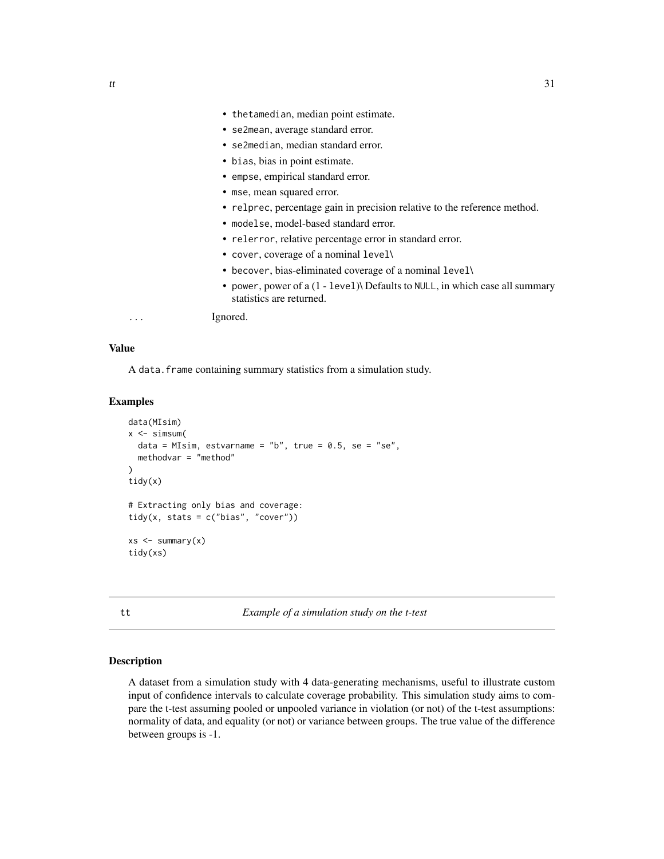- <span id="page-30-0"></span>• thetamedian, median point estimate.
- se2mean, average standard error.
- se2median, median standard error.
- bias, bias in point estimate.
- empse, empirical standard error.
- mse, mean squared error.
- relprec, percentage gain in precision relative to the reference method.
- modelse, model-based standard error.
- relerror, relative percentage error in standard error.
- cover, coverage of a nominal level\
- becover, bias-eliminated coverage of a nominal level\
- power, power of a (1 level)\ Defaults to NULL, in which case all summary statistics are returned.

... Ignored.

#### Value

A data.frame containing summary statistics from a simulation study.

## Examples

```
data(MIsim)
x \le -\sin{\sin{\frac{\theta}{}}data = MIsim, estvarname = "b", true = 0.5, se = "se",
  methodvar = "method"
)
tidy(x)
# Extracting only bias and coverage:
tidy(x, stats = c("bias", "cover"))
xs < - summary(x)tidy(xs)
```
tt *Example of a simulation study on the t-test*

## **Description**

A dataset from a simulation study with 4 data-generating mechanisms, useful to illustrate custom input of confidence intervals to calculate coverage probability. This simulation study aims to compare the t-test assuming pooled or unpooled variance in violation (or not) of the t-test assumptions: normality of data, and equality (or not) or variance between groups. The true value of the difference between groups is -1.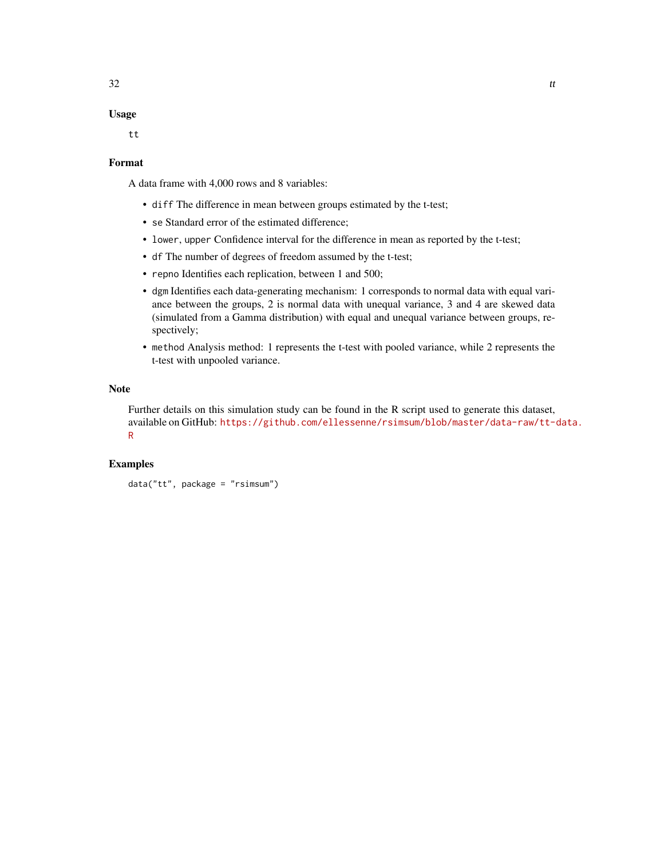## Usage

tt

#### Format

A data frame with 4,000 rows and 8 variables:

- diff The difference in mean between groups estimated by the t-test;
- se Standard error of the estimated difference;
- lower, upper Confidence interval for the difference in mean as reported by the t-test;
- df The number of degrees of freedom assumed by the t-test;
- repno Identifies each replication, between 1 and 500;
- dgm Identifies each data-generating mechanism: 1 corresponds to normal data with equal variance between the groups, 2 is normal data with unequal variance, 3 and 4 are skewed data (simulated from a Gamma distribution) with equal and unequal variance between groups, respectively;
- method Analysis method: 1 represents the t-test with pooled variance, while 2 represents the t-test with unpooled variance.

#### Note

Further details on this simulation study can be found in the R script used to generate this dataset, available on GitHub: [https://github.com/ellessenne/rsimsum/blob/master/data-raw/tt-d](https://github.com/ellessenne/rsimsum/blob/master/data-raw/tt-data.R)ata. [R](https://github.com/ellessenne/rsimsum/blob/master/data-raw/tt-data.R)

```
data("tt", package = "rsimsum")
```